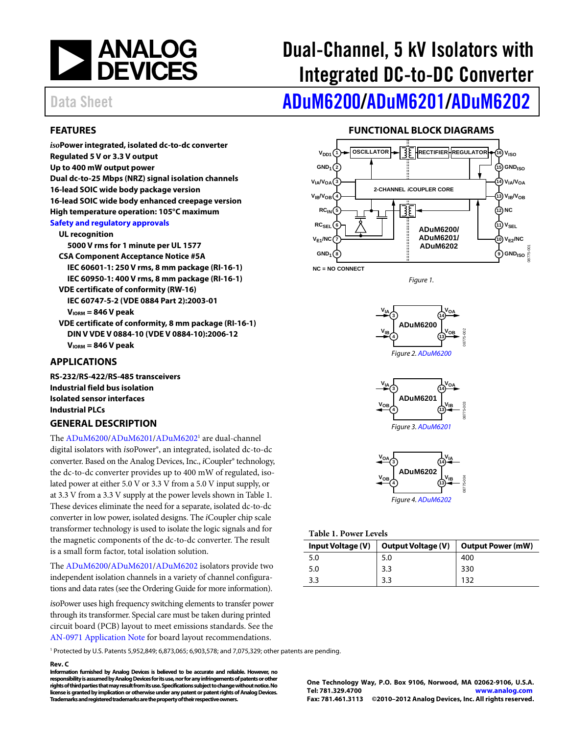

# Dual-Channel, 5 kV Isolators with Integrated DC-to-DC Converter

# Data Sheet **[ADuM6200/](http://www.analog.com/ADuM6200)[ADuM6201](http://www.analog.com/ADuM6201)[/ADuM6202](http://www.analog.com/ADuM6202)**

### <span id="page-0-1"></span>**FEATURES**

*iso***Power integrated, isolated dc-to-dc converter Regulated 5 V or 3.3 V output Up to 400 mW output power Dual dc-to-25 Mbps (NRZ) signal isolation channels 16-lead SOIC wide body package version 16-lead SOIC wide body enhanced creepage version High temperature operation: 105°C maximum [Safety and regulatory approvals](http://www.analog.com/icouplersafety) UL recognition 5000 V rms for 1 minute per UL 1577** 

**CSA Component Acceptance Notice #5A IEC 60601-1: 250 V rms, 8 mm package (RI-16-1) IEC 60950-1: 400 V rms, 8 mm package (RI-16-1) VDE certificate of conformity (RW-16) IEC 60747-5-2 (VDE 0884 Part 2):2003-01 VIORM = 846 V peak VDE certificate of conformity, 8 mm package (RI-16-1) DIN V VDE V 0884-10 (VDE V 0884-10):2006-12** 

**VIORM = 846 V peak** 

### <span id="page-0-2"></span>**APPLICATIONS**

**RS-232/RS-422/RS-485 transceivers Industrial field bus isolation Isolated sensor interfaces Industrial PLCs** 

### <span id="page-0-3"></span>**GENERAL DESCRIPTION**

The [ADuM6200/](http://www.analog.com/ADuM6200)[ADuM6201/](http://www.analog.com/ADuM6201)[ADuM6202](http://www.analog.com/ADuM6202)<sup>1</sup> are dual-channel digital isolators with *iso*Power®, an integrated, isolated dc-to-dc converter. Based on the Analog Devices, Inc., *i*Coupler® technology, the dc-to-dc converter provides up to 400 mW of regulated, isolated power at either 5.0 V or 3.3 V from a 5.0 V input supply, or at 3.3 V from a 3.3 V supply at the power levels shown i[n Table 1.](#page-0-0)  These devices eliminate the need for a separate, isolated dc-to-dc converter in low power, isolated designs. The *i*Coupler chip scale transformer technology is used to isolate the logic signals and for the magnetic components of the dc-to-dc converter. The result is a small form factor, total isolation solution.

The [ADuM6200/](http://www.analog.com/ADuM6200)[ADuM6201/](http://www.analog.com/ADuM6201)[ADuM6202 i](http://www.analog.com/ADuM6202)solators provide two independent isolation channels in a variety of channel configurations and data rates (see th[e Ordering Guide f](#page-24-0)or more information).

*iso*Power uses high frequency switching elements to transfer power through its transformer. Special care must be taken during printed circuit board (PCB) layout to meet emissions standards. See the [AN-0971 Application Note f](http://www.analog.com/AN-0971)or board layout recommendations.

### **FUNCTIONAL BLOCK DIAGRAMS**

<span id="page-0-4"></span>

**NC = NO CONNECT**

Figure 1.







<span id="page-0-0"></span>**Table 1. Power Levels** 

| Input Voltage (V) | <b>Output Voltage (V)</b> | <b>Output Power (mW)</b> |  |  |  |  |
|-------------------|---------------------------|--------------------------|--|--|--|--|
| 5.0               | 5.0                       | 400                      |  |  |  |  |
| 5.0               | 3.3                       | 330                      |  |  |  |  |
| 3.3               | 3.3                       | 132                      |  |  |  |  |

1 Protected by U.S. Patents 5,952,849; 6,873,065; 6,903,578; and 7,075,329; other patents are pending.

#### **Rev. C**

**Information furnished b[y Analog Devices is](http://www.analog.com) believed to be accurate and reliable. However, no responsibility is assumed by Analog Devices for its use, nor for any infringements of patents or other rights of third parties that may result from its use. Specifications subject to change without notice. No license is granted by implication or otherwise under any patent or patent rights o[f Analog Devices.](http://www.analog.com)  Trademarks and registered trademarks are the property of their respective owners.** 

**One Technology Way, P.O. Box 9106, Norwood, MA 02062-9106, U.S.A. Tel: 781.329.4700 [www.analog.com](http://www.analog.com/) Fax: 781.461.3113 ©2010–2012 [Analog Devices, Inc.](http://www.analog.com) All rights reserved.**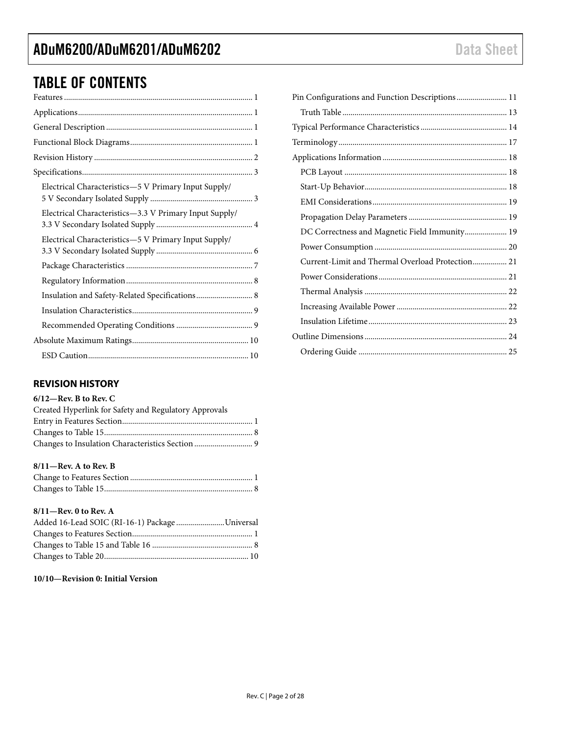## TABLE OF CONTENTS

| Electrical Characteristics-5 V Primary Input Supply/   |
|--------------------------------------------------------|
| Electrical Characteristics-3.3 V Primary Input Supply/ |
| Electrical Characteristics-5 V Primary Input Supply/   |
|                                                        |
|                                                        |
|                                                        |
|                                                        |
|                                                        |
|                                                        |
|                                                        |

### <span id="page-1-0"></span>**REVISION HISTORY**

### **6/12—Rev. B to Rev. C**

| Created Hyperlink for Safety and Regulatory Approvals |  |
|-------------------------------------------------------|--|
|                                                       |  |
|                                                       |  |
|                                                       |  |

### **8/11—Rev. A to Rev. B**

### **8/11—Rev. 0 to Rev. A**

| Added 16-Lead SOIC (RI-16-1) Package Universal |  |
|------------------------------------------------|--|
|                                                |  |
|                                                |  |
|                                                |  |

### **10/10—Revision 0: Initial Version**

| Pin Configurations and Function Descriptions 11  |  |
|--------------------------------------------------|--|
|                                                  |  |
|                                                  |  |
|                                                  |  |
|                                                  |  |
|                                                  |  |
|                                                  |  |
|                                                  |  |
|                                                  |  |
| DC Correctness and Magnetic Field Immunity 19    |  |
|                                                  |  |
| Current-Limit and Thermal Overload Protection 21 |  |
|                                                  |  |
|                                                  |  |
|                                                  |  |
|                                                  |  |
|                                                  |  |
|                                                  |  |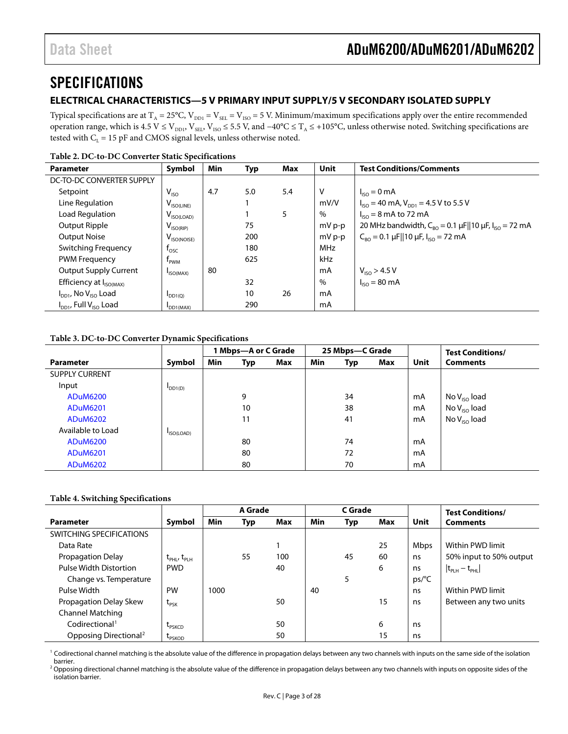### <span id="page-2-0"></span>**SPECIFICATIONS**

### <span id="page-2-1"></span>**ELECTRICAL CHARACTERISTICS—5 V PRIMARY INPUT SUPPLY/5 V SECONDARY ISOLATED SUPPLY**

Typical specifications are at  $T_A = 25^{\circ}C$ ,  $V_{DD1} = V_{SEL} = V_{ISO} = 5$  V. Minimum/maximum specifications apply over the entire recommended operation range, which is 4.5 V  $\leq$  V<sub>DD1</sub>, V<sub>SEL</sub>, V<sub>ISO</sub> ≤ 5.5 V, and −40°C ≤ T<sub>A</sub> ≤ +105°C, unless otherwise noted. Switching specifications are tested with  $C_L = 15$  pF and CMOS signal levels, unless otherwise noted.

| <b>Parameter</b>                    | Symbol                  | Min | Typ | Max | Unit       | <b>Test Conditions/Comments</b>                                                               |
|-------------------------------------|-------------------------|-----|-----|-----|------------|-----------------------------------------------------------------------------------------------|
| DC-TO-DC CONVERTER SUPPLY           |                         |     |     |     |            |                                                                                               |
| Setpoint                            | $V_{ISO}$               | 4.7 | 5.0 | 5.4 | V          | $I_{\text{iso}} = 0 \text{ mA}$                                                               |
| Line Regulation                     | $V_{ISO(LINE)}$         |     |     |     | mV/V       | $I_{\text{ISO}}$ = 40 mA, $V_{\text{DD1}}$ = 4.5 V to 5.5 V                                   |
| Load Regulation                     | $V_{\text{ISO(LOAD)}}$  |     |     | 5   | %          | $I_{ISO} = 8$ mA to 72 mA                                                                     |
| Output Ripple                       | $V_{ISO(RIP)}$          |     | 75  |     | mV p-p     | 20 MHz bandwidth, $C_{BO} = 0.1 \,\mu\text{F}  10 \,\mu\text{F}$ , $I_{ISO} = 72 \,\text{mA}$ |
| <b>Output Noise</b>                 | $V_{\text{ISO(NOISE)}}$ |     | 200 |     | mV p-p     | $C_{\text{RO}} = 0.1 \mu$ F  10 $\mu$ F, I <sub>ISO</sub> = 72 mA                             |
| Switching Frequency                 | $t_{\rm osc}$           |     | 180 |     | <b>MHz</b> |                                                                                               |
| <b>PWM Frequency</b>                | f <sub>PWM</sub>        |     | 625 |     | kHz        |                                                                                               |
| <b>Output Supply Current</b>        | ISO(MAX)                | 80  |     |     | mA         | $V_{ISO} > 4.5 V$                                                                             |
| Efficiency at I <sub>ISO(MAX)</sub> |                         |     | 32  |     | %          | $I_{ISO} = 80 \text{ mA}$                                                                     |
| $I_{DD1}$ , No $V_{ISO}$ Load       | $I_{DD1(Q)}$            |     | 10  | 26  | mA         |                                                                                               |
| $I_{DD1}$ , Full $V_{ISO}$ Load     | DD1(MAX)                |     | 290 |     | mA         |                                                                                               |

#### **Table 2. DC-to-DC Converter Static Specifications**

### **Table 3. DC-to-DC Converter Dynamic Specifications**

|                       |                 | 1 Mbps-A or C Grade |     |     | 25 Mbps-C Grade |     |     |      | <b>Test Conditions/</b> |
|-----------------------|-----------------|---------------------|-----|-----|-----------------|-----|-----|------|-------------------------|
| <b>Parameter</b>      | Symbol          | <b>Min</b>          | Typ | Max | Min             | Typ | Max | Unit | <b>Comments</b>         |
| <b>SUPPLY CURRENT</b> |                 |                     |     |     |                 |     |     |      |                         |
| Input                 | $\text{DD1}(D)$ |                     |     |     |                 |     |     |      |                         |
| <b>ADuM6200</b>       |                 |                     | 9   |     |                 | 34  |     | mA   | No $V_{ISO}$ load       |
| <b>ADuM6201</b>       |                 |                     | 10  |     |                 | 38  |     | mA   | No $V_{ISO}$ load       |
| <b>ADuM6202</b>       |                 |                     | 11  |     |                 | 41  |     | mA   | No $V_{ISO}$ load       |
| Available to Load     | ISO(LOAD)       |                     |     |     |                 |     |     |      |                         |
| <b>ADuM6200</b>       |                 |                     | 80  |     |                 | 74  |     | mA   |                         |
| <b>ADuM6201</b>       |                 |                     | 80  |     |                 | 72  |     | mA   |                         |
| <b>ADuM6202</b>       |                 |                     | 80  |     |                 | 70  |     | mA   |                         |

#### **Table 4. Switching Specifications**

|                                   |                                     | A Grade    |     |     |     | C Grade |     |                | <b>Test Conditions/</b> |
|-----------------------------------|-------------------------------------|------------|-----|-----|-----|---------|-----|----------------|-------------------------|
| <b>Parameter</b>                  | Symbol                              | <b>Min</b> | Typ | Max | Min | Typ     | Max | Unit           | <b>Comments</b>         |
| SWITCHING SPECIFICATIONS          |                                     |            |     |     |     |         |     |                |                         |
| Data Rate                         |                                     |            |     |     |     |         | 25  | <b>Mbps</b>    | Within PWD limit        |
| Propagation Delay                 | $t_{\text{PHL}}$ , $t_{\text{PLH}}$ |            | 55  | 100 |     | 45      | 60  | ns             | 50% input to 50% output |
| Pulse Width Distortion            | <b>PWD</b>                          |            |     | 40  |     |         | 6   | ns             | $ t_{PPH}-t_{PHL$       |
| Change vs. Temperature            |                                     |            |     |     |     | 5       |     | $ps/^{\circ}C$ |                         |
| Pulse Width                       | PW                                  | 1000       |     |     | 40  |         |     | ns             | Within PWD limit        |
| Propagation Delay Skew            | $t_{PSK}$                           |            |     | 50  |     |         | 15  | ns             | Between any two units   |
| <b>Channel Matching</b>           |                                     |            |     |     |     |         |     |                |                         |
| Codirectional <sup>1</sup>        | <b>LPSKCD</b>                       |            |     | 50  |     |         | 6   | ns             |                         |
| Opposing Directional <sup>2</sup> | <b>LPSKOD</b>                       |            |     | 50  |     |         | 15  | ns             |                         |

<sup>1</sup> Codirectional channel matching is the absolute value of the difference in propagation delays between any two channels with inputs on the same side of the isolation barrier.<br><sup>2</sup> Opposing directional channel matching is the absolute value of the difference in propagation delays between any two channels with inputs on opposite sides of the

isolation barrier.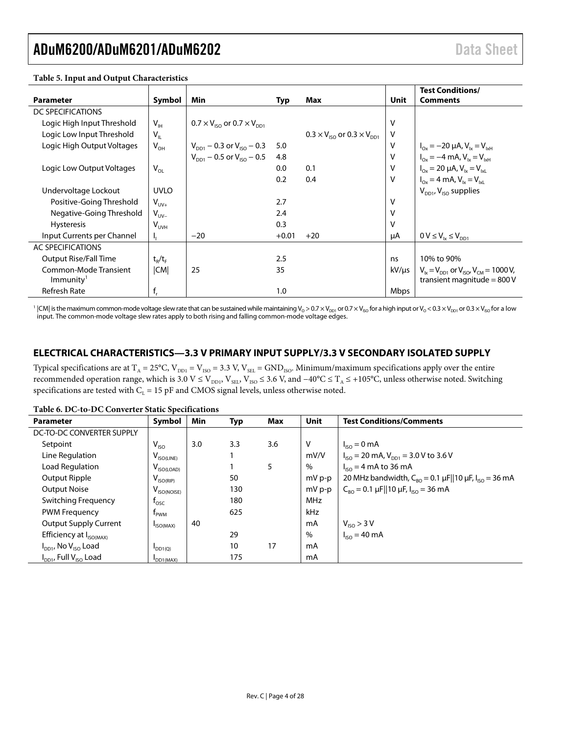### ADuM6200/ADuM6201/ADuM6202 Data Sheet

| $\frac{1}{2}$ with $\frac{1}{2}$ and $\frac{1}{2}$ are $\frac{1}{2}$ and $\frac{1}{2}$ are $\frac{1}{2}$ and $\frac{1}{2}$ are $\frac{1}{2}$ and $\frac{1}{2}$ are $\frac{1}{2}$ are $\frac{1}{2}$ are $\frac{1}{2}$ are $\frac{1}{2}$ are $\frac{1}{2}$ are $\frac{1}{2}$ are $\frac{1}{2}$ |                 |                                                            |         |                                                            |        |                                                                                      |
|----------------------------------------------------------------------------------------------------------------------------------------------------------------------------------------------------------------------------------------------------------------------------------------------|-----------------|------------------------------------------------------------|---------|------------------------------------------------------------|--------|--------------------------------------------------------------------------------------|
|                                                                                                                                                                                                                                                                                              |                 |                                                            |         |                                                            |        | <b>Test Conditions/</b>                                                              |
| <b>Parameter</b>                                                                                                                                                                                                                                                                             | Symbol          | Min                                                        | Typ     | Max                                                        | Unit   | <b>Comments</b>                                                                      |
| DC SPECIFICATIONS                                                                                                                                                                                                                                                                            |                 |                                                            |         |                                                            |        |                                                                                      |
| Logic High Input Threshold                                                                                                                                                                                                                                                                   | V <sub>1H</sub> | $0.7 \times V_{\text{iso}}$ or $0.7 \times V_{\text{non}}$ |         |                                                            | v      |                                                                                      |
| Logic Low Input Threshold                                                                                                                                                                                                                                                                    | $V_{\parallel}$ |                                                            |         | $0.3 \times V_{\text{iso}}$ or $0.3 \times V_{\text{DD1}}$ | v      |                                                                                      |
| Logic High Output Voltages                                                                                                                                                                                                                                                                   | $V_{OH}$        | $V_{DD1}$ – 0.3 or $V_{ISO}$ – 0.3                         | 5.0     |                                                            | V      | $I_{Ox} = -20 \mu A$ , $V_{1x} = V_{1xH}$                                            |
|                                                                                                                                                                                                                                                                                              |                 | $V_{DD1}$ – 0.5 or $V_{ISO}$ – 0.5                         | 4.8     |                                                            | $\vee$ | $I_{Ox} = -4$ mA, $V_{1x} = V_{1xH}$                                                 |
| Logic Low Output Voltages                                                                                                                                                                                                                                                                    | $V_{OL}$        |                                                            | 0.0     | 0.1                                                        | $\vee$ | $I_{Ox} = 20 \mu A$ , $V_{1x} = V_{1x1}$                                             |
|                                                                                                                                                                                                                                                                                              |                 |                                                            | 0.2     | 0.4                                                        | $\vee$ | $I_{Ox} = 4 \text{ mA}$ , $V_{1x} = V_{1x1}$                                         |
| Undervoltage Lockout                                                                                                                                                                                                                                                                         | <b>UVLO</b>     |                                                            |         |                                                            |        | $V_{DD1}$ , $V_{ISO}$ supplies                                                       |
| Positive-Going Threshold                                                                                                                                                                                                                                                                     | $V_{UV+}$       |                                                            | 2.7     |                                                            | V      |                                                                                      |
| Negative-Going Threshold                                                                                                                                                                                                                                                                     | $V_{UV}$        |                                                            | 2.4     |                                                            | V      |                                                                                      |
| <b>Hysteresis</b>                                                                                                                                                                                                                                                                            | $V_{UVH}$       |                                                            | 0.3     |                                                            | $\vee$ |                                                                                      |
| Input Currents per Channel                                                                                                                                                                                                                                                                   | ъ.              | $-20$                                                      | $+0.01$ | $+20$                                                      | μA     | $0 V \leq V_{1x} \leq V_{DD1}$                                                       |
| AC SPECIFICATIONS                                                                                                                                                                                                                                                                            |                 |                                                            |         |                                                            |        |                                                                                      |
| <b>Output Rise/Fall Time</b>                                                                                                                                                                                                                                                                 | $t_{R}/t_{F}$   |                                                            | 2.5     |                                                            | ns     | 10% to 90%                                                                           |
| Common-Mode Transient<br>Immunity <sup>1</sup>                                                                                                                                                                                                                                               | CM              | 25                                                         | 35      |                                                            | kV/µs  | $V_{1x} = V_{D21}$ or $V_{150}$ , $V_{CM} = 1000$ V,<br>transient magnitude = $800V$ |
| <b>Refresh Rate</b>                                                                                                                                                                                                                                                                          | $f_{r}$         |                                                            | 1.0     |                                                            | Mbps   |                                                                                      |

**Table 5. Input and Output Characteristics**

 $^1$  |CM| is the maximum common-mode voltage slew rate that can be sustained while maintaining V<sub>0</sub> > 0.7 × V<sub>IsO</sub> to 0.7 × V<sub>IsO</sub> for a high input or V<sub>0</sub> < 0.3 × V<sub>IsO</sub> for a low input. The common-mode voltage slew rates apply to both rising and falling common-mode voltage edges.

### <span id="page-3-0"></span>**ELECTRICAL CHARACTERISTICS—3.3 V PRIMARY INPUT SUPPLY/3.3 V SECONDARY ISOLATED SUPPLY**

Typical specifications are at  $T_A = 25^{\circ}C$ ,  $V_{DD1} = V_{ISO} = 3.3 V$ ,  $V_{SEL} = GND_{ISO}$ . Minimum/maximum specifications apply over the entire recommended operation range, which is 3.0 V ≤ V<sub>DD1</sub>, V<sub>SEL</sub>, V<sub>ISO</sub> ≤ 3.6 V, and −40°C ≤ T<sub>A</sub> ≤ +105°C, unless otherwise noted. Switching specifications are tested with  $C_L = 15$  pF and CMOS signal levels, unless otherwise noted.

| Table 0. DC-to-DC Converter Static Specifications |                       |     |     |     |             |                                                                                                 |  |  |  |  |
|---------------------------------------------------|-----------------------|-----|-----|-----|-------------|-------------------------------------------------------------------------------------------------|--|--|--|--|
| <b>Parameter</b>                                  | Symbol                | Min | Typ | Max | <b>Unit</b> | <b>Test Conditions/Comments</b>                                                                 |  |  |  |  |
| DC-TO-DC CONVERTER SUPPLY                         |                       |     |     |     |             |                                                                                                 |  |  |  |  |
| Setpoint                                          | $V_{ISO}$             | 3.0 | 3.3 | 3.6 | ٧           | $I_{ISO} = 0$ mA                                                                                |  |  |  |  |
| Line Regulation                                   | $V_{ISO(LINE)}$       |     |     |     | mV/V        | $I_{\text{ISO}}$ = 20 mA, $V_{\text{DD1}}$ = 3.0 V to 3.6 V                                     |  |  |  |  |
| Load Regulation                                   | $V_{ISO(LOAD)}$       |     |     | 5   | %           | $I_{ISO} = 4$ mA to 36 mA                                                                       |  |  |  |  |
| Output Ripple                                     | $V_{ISO(RIP)}$        |     | 50  |     | mV p-p      | 20 MHz bandwidth, $C_{BO} = 0.1 \,\mu\text{F}    10 \,\mu\text{F}$ , $I_{ISO} = 36 \,\text{mA}$ |  |  |  |  |
| <b>Output Noise</b>                               | $V_{ISO(NOISE)}$      |     | 130 |     | mV p-p      | $C_{RO} = 0.1 \mu$ F  10 $\mu$ F, I <sub>ISO</sub> = 36 mA                                      |  |  |  |  |
| <b>Switching Frequency</b>                        | $t_{\text{osc}}$      |     | 180 |     | <b>MHz</b>  |                                                                                                 |  |  |  |  |
| <b>PWM Frequency</b>                              | t <sub>pwm</sub>      |     | 625 |     | kHz         |                                                                                                 |  |  |  |  |
| <b>Output Supply Current</b>                      | $I_{ISO(MAX)}$        | 40  |     |     | mA          | $V_{ISO} > 3 V$                                                                                 |  |  |  |  |
| Efficiency at I <sub>ISO(MAX)</sub>               |                       |     | 29  |     | $\%$        | $I_{ISO} = 40 \text{ mA}$                                                                       |  |  |  |  |
| $I_{DD1}$ , No $V_{ISO}$ Load                     | $I_{DD1(Q)}$          |     | 10  | 17  | mA          |                                                                                                 |  |  |  |  |
| $I_{DD1}$ , Full $V_{ISO}$ Load                   | DD <sub>1</sub> (MAX) |     | 175 |     | mA          |                                                                                                 |  |  |  |  |

### **Table 6. DC-to-DC Converter Static Specifications**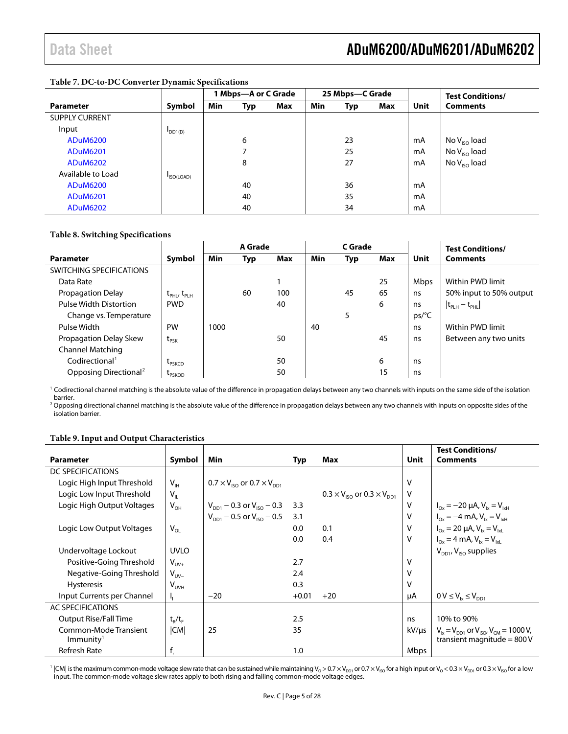### **Table 7. DC-to-DC Converter Dynamic Specifications**

|                       |                            | 1 Mbps—A or C Grade |     |     | 25 Mbps-C Grade |     |     |      | <b>Test Conditions/</b> |
|-----------------------|----------------------------|---------------------|-----|-----|-----------------|-----|-----|------|-------------------------|
| <b>Parameter</b>      | Symbol                     | Min                 | Typ | Max | Min             | Typ | Max | Unit | <b>Comments</b>         |
| <b>SUPPLY CURRENT</b> |                            |                     |     |     |                 |     |     |      |                         |
| Input                 | $\mathsf{DD1}(\mathsf{D})$ |                     |     |     |                 |     |     |      |                         |
| <b>ADuM6200</b>       |                            |                     | 6   |     |                 | 23  |     | mA   | No $V_{ISO}$ load       |
| <b>ADuM6201</b>       |                            |                     | 7   |     |                 | 25  |     | mA   | No $V_{ISO}$ load       |
| <b>ADuM6202</b>       |                            |                     | 8   |     |                 | 27  |     | mA   | No $V_{ISO}$ load       |
| Available to Load     | ISO(LOAD)                  |                     |     |     |                 |     |     |      |                         |
| <b>ADuM6200</b>       |                            |                     | 40  |     |                 | 36  |     | mA   |                         |
| <b>ADuM6201</b>       |                            |                     | 40  |     |                 | 35  |     | mA   |                         |
| <b>ADuM6202</b>       |                            |                     | 40  |     |                 | 34  |     | mA   |                         |

### **Table 8. Switching Specifications**

|                                   |                                          |            | A Grade |     |            | C Grade |     |             | <b>Test Conditions/</b> |
|-----------------------------------|------------------------------------------|------------|---------|-----|------------|---------|-----|-------------|-------------------------|
| <b>Parameter</b>                  | Symbol                                   | <b>Min</b> | Typ     | Max | <b>Min</b> | Typ     | Max | Unit        | <b>Comments</b>         |
| SWITCHING SPECIFICATIONS          |                                          |            |         |     |            |         |     |             |                         |
| Data Rate                         |                                          |            |         |     |            |         | 25  | <b>Mbps</b> | Within PWD limit        |
| Propagation Delay                 | $t_{\text{PHL}}$ , $t_{\text{PLH}}$      |            | 60      | 100 |            | 45      | 65  | ns          | 50% input to 50% output |
| <b>Pulse Width Distortion</b>     | <b>PWD</b>                               |            |         | 40  |            |         | 6   | ns          | $ t_{PLH} - t_{PHL} $   |
| Change vs. Temperature            |                                          |            |         |     |            | 5       |     | ps/°C       |                         |
| Pulse Width                       | PW                                       | 1000       |         |     | 40         |         |     | ns          | Within PWD limit        |
| Propagation Delay Skew            | $\boldsymbol{\mathrm{t}}_{\mathsf{PSK}}$ |            |         | 50  |            |         | 45  | ns          | Between any two units   |
| <b>Channel Matching</b>           |                                          |            |         |     |            |         |     |             |                         |
| Codirectional <sup>1</sup>        | L <sub>PSKCD</sub>                       |            |         | 50  |            |         | 6   | ns          |                         |
| Opposing Directional <sup>2</sup> | L <sub>PSKOD</sub>                       |            |         | 50  |            |         | 15  | ns          |                         |

<sup>1</sup> Codirectional channel matching is the absolute value of the difference in propagation delays between any two channels with inputs on the same side of the isolation barrier.

<sup>2</sup> Opposing directional channel matching is the absolute value of the difference in propagation delays between any two channels with inputs on opposite sides of the isolation barrier.

### **Table 9. Input and Output Characteristics**

|                                                |                       |                                                            |         |                                              |        | <b>Test Conditions/</b>                                                              |
|------------------------------------------------|-----------------------|------------------------------------------------------------|---------|----------------------------------------------|--------|--------------------------------------------------------------------------------------|
| <b>Parameter</b>                               | Symbol                | Min                                                        | Typ     | Max                                          | Unit   | <b>Comments</b>                                                                      |
| DC SPECIFICATIONS                              |                       |                                                            |         |                                              |        |                                                                                      |
| Logic High Input Threshold                     | $V_{\text{IH}}$       | $0.7 \times V_{\text{iso}}$ or $0.7 \times V_{\text{DD1}}$ |         |                                              | v      |                                                                                      |
| Logic Low Input Threshold                      | $V_{\parallel}$       |                                                            |         | $0.3 \times V_{150}$ or $0.3 \times V_{D01}$ | $\vee$ |                                                                                      |
| Logic High Output Voltages                     | $V_{OH}$              | $V_{DD1}$ – 0.3 or $V_{ISO}$ – 0.3                         | 3.3     |                                              | v      | $I_{Ox} = -20 \mu A$ , $V_{1x} = V_{1xH}$                                            |
|                                                |                       | $V_{\text{DD1}}$ – 0.5 or $V_{\text{ISO}}$ – 0.5           | 3.1     |                                              | v      | $I_{Ox} = -4$ mA, $V_{1x} = V_{1xH}$                                                 |
| Logic Low Output Voltages                      | $V_{OL}$              |                                                            | 0.0     | 0.1                                          | V      | $I_{Ox} = 20 \mu A$ , $V_{1x} = V_{1x1}$                                             |
|                                                |                       |                                                            | 0.0     | 0.4                                          | $\vee$ | $I_{Ox} = 4$ mA, $V_{1x} = V_{1x}$                                                   |
| Undervoltage Lockout                           | <b>UVLO</b>           |                                                            |         |                                              |        | $V_{DD1}$ , $V_{ISO}$ supplies                                                       |
| Positive-Going Threshold                       | $V_{UV+}$             |                                                            | 2.7     |                                              | v      |                                                                                      |
| Negative-Going Threshold                       | $V_{UV-}$             |                                                            | 2.4     |                                              | v      |                                                                                      |
| <b>Hysteresis</b>                              | V <sub>UVH</sub>      |                                                            | 0.3     |                                              | v      |                                                                                      |
| Input Currents per Channel                     | Ч.                    | $-20$                                                      | $+0.01$ | $+20$                                        | μA     | $0 V \leq V_{1x} \leq V_{DD1}$                                                       |
| AC SPECIFICATIONS                              |                       |                                                            |         |                                              |        |                                                                                      |
| <b>Output Rise/Fall Time</b>                   | $t_{\rm R}/t_{\rm F}$ |                                                            | 2.5     |                                              | ns     | 10% to 90%                                                                           |
| Common-Mode Transient<br>Immunity <sup>1</sup> | CM                    | 25                                                         | 35      |                                              | kV/us  | $V_{1x} = V_{D11}$ or $V_{150}$ , $V_{CM} = 1000$ V,<br>transient magnitude = $800V$ |
| Refresh Rate                                   | $f_r$                 |                                                            | 1.0     |                                              | Mbps   |                                                                                      |

<sup>1</sup> |CM| is the maximum common-mode voltage slew rate that can be sustained while maintaining V<sub>o</sub> > 0.7 × V<sub>LD1</sub> or 0.7 × V<sub>ISO</sub> for a high input or V<sub>o</sub> < 0.3 × V<sub>LD1</sub> or 0.3 × V<sub>ISO</sub> for a low input. The common-mode voltage slew rates apply to both rising and falling common-mode voltage edges.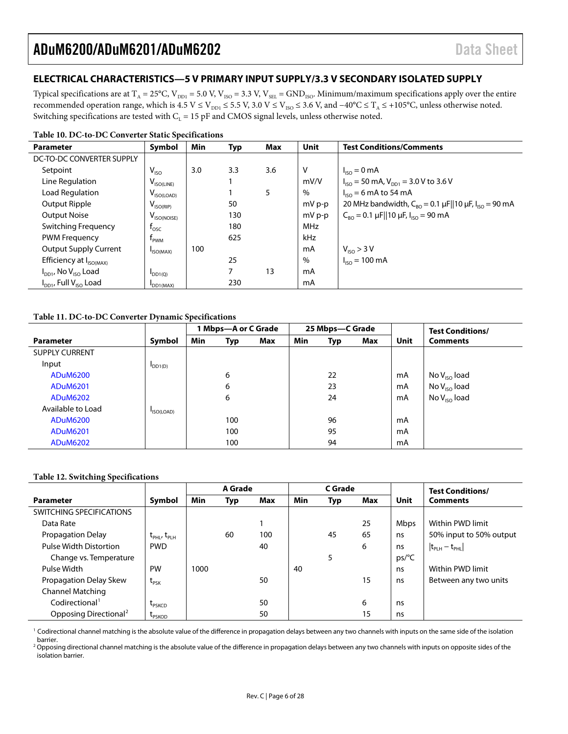### <span id="page-5-0"></span>**ELECTRICAL CHARACTERISTICS—5 V PRIMARY INPUT SUPPLY/3.3 V SECONDARY ISOLATED SUPPLY**

Typical specifications are at  $T_A = 25^{\circ}C$ ,  $V_{DD1} = 5.0$  V,  $V_{ISO} = 3.3$  V,  $V_{SEL} =$  GND<sub>ISO</sub>. Minimum/maximum specifications apply over the entire recommended operation range, which is 4.5 V ≤ V<sub>DD1</sub> ≤ 5.5 V, 3.0 V ≤ V<sub>ISO</sub> ≤ 3.6 V, and −40°C ≤ T<sub>A</sub> ≤ +105°C, unless otherwise noted. Switching specifications are tested with  $C_L = 15$  pF and CMOS signal levels, unless otherwise noted.

#### **Table 10. DC-to-DC Converter Static Specifications**

| <b>Parameter</b>                    | Symbol                      | Min | Typ            | Max | Unit       | <b>Test Conditions/Comments</b>                                                                 |
|-------------------------------------|-----------------------------|-----|----------------|-----|------------|-------------------------------------------------------------------------------------------------|
| DC-TO-DC CONVERTER SUPPLY           |                             |     |                |     |            |                                                                                                 |
| Setpoint                            | $V_{ISO}$                   | 3.0 | 3.3            | 3.6 | $\vee$     | $I_{ISO} = 0$ mA                                                                                |
| Line Regulation                     | $V_{ISO(LINE)}$             |     |                |     | mV/V       | $I_{ISO}$ = 50 mA, $V_{DD1}$ = 3.0 V to 3.6 V                                                   |
| Load Regulation                     | $V_{ISO(LOAD)}$             |     |                | 5   | %          | $I_{ISO} = 6$ mA to 54 mA                                                                       |
| Output Ripple                       | $V_{ISO(RIP)}$              |     | 50             |     | mV p-p     | 20 MHz bandwidth, $C_{BO} = 0.1 \,\mu\text{F}    10 \,\mu\text{F}$ , $I_{ISO} = 90 \,\text{mA}$ |
| <b>Output Noise</b>                 | V <sub>ISO(NOISE)</sub>     |     | 130            |     | mV p-p     | $C_{RO} = 0.1 \mu$ F  10 $\mu$ F, I <sub>ISO</sub> = 90 mA                                      |
| Switching Frequency                 | $\mathsf{r}_{\mathsf{osc}}$ |     | 180            |     | <b>MHz</b> |                                                                                                 |
| <b>PWM Frequency</b>                | <b>T</b> <sub>PWM</sub>     |     | 625            |     | kHz        |                                                                                                 |
| <b>Output Supply Current</b>        | ISO(MAX)                    | 100 |                |     | mA         | $V_{ISO} > 3 V$                                                                                 |
| Efficiency at I <sub>ISO(MAX)</sub> |                             |     | 25             |     | %          | $I_{ISO} = 100 \text{ mA}$                                                                      |
| $I_{DD1}$ , No $V_{ISO}$ Load       | $I_{DD1(Q)}$                |     | $\overline{ }$ | 13  | mA         |                                                                                                 |
| $I_{DD1}$ , Full $V_{ISO}$ Load     | DD1(MAX)                    |     | 230            |     | mA         |                                                                                                 |

### **Table 11. DC-to-DC Converter Dynamic Specifications**

|                       |                     | 1 Mbps—A or C Grade |     | 25 Mbps-C Grade |     |     |     | <b>Test Conditions/</b> |                   |
|-----------------------|---------------------|---------------------|-----|-----------------|-----|-----|-----|-------------------------|-------------------|
| <b>Parameter</b>      | Symbol              | <b>Min</b>          | Typ | Max             | Min | Typ | Max | Unit                    | <b>Comments</b>   |
| <b>SUPPLY CURRENT</b> |                     |                     |     |                 |     |     |     |                         |                   |
| Input                 | DD <sub>1</sub> (D) |                     |     |                 |     |     |     |                         |                   |
| <b>ADuM6200</b>       |                     |                     | 6   |                 |     | 22  |     | mA                      | No $V_{ISO}$ load |
| <b>ADuM6201</b>       |                     |                     | 6   |                 |     | 23  |     | mA                      | No $V_{ISO}$ load |
| <b>ADuM6202</b>       |                     |                     | 6   |                 |     | 24  |     | mA                      | No $V_{ISO}$ load |
| Available to Load     | ISO(LOAD)           |                     |     |                 |     |     |     |                         |                   |
| <b>ADuM6200</b>       |                     |                     | 100 |                 |     | 96  |     | mA                      |                   |
| <b>ADuM6201</b>       |                     |                     | 100 |                 |     | 95  |     | mA                      |                   |
| <b>ADuM6202</b>       |                     |                     | 100 |                 |     | 94  |     | mA                      |                   |

#### **Table 12. Switching Specifications**

|                                   |                                     |      | A Grade |     | C Grade |     |     | <b>Test Conditions/</b> |                                     |
|-----------------------------------|-------------------------------------|------|---------|-----|---------|-----|-----|-------------------------|-------------------------------------|
| <b>Parameter</b>                  | Symbol                              | Min  | Typ     | Max | Min     | Typ | Max | Unit                    | <b>Comments</b>                     |
| SWITCHING SPECIFICATIONS          |                                     |      |         |     |         |     |     |                         |                                     |
| Data Rate                         |                                     |      |         |     |         |     | 25  | Mbps                    | Within PWD limit                    |
| Propagation Delay                 | $t_{\text{PHL}}$ , $t_{\text{PLH}}$ |      | 60      | 100 |         | 45  | 65  | ns                      | 50% input to 50% output             |
| <b>Pulse Width Distortion</b>     | <b>PWD</b>                          |      |         | 40  |         |     | 6   | ns                      | $ t_{\text{PLH}} - t_{\text{PHL}} $ |
| Change vs. Temperature            |                                     |      |         |     |         | 5   |     | ps/C                    |                                     |
| Pulse Width                       | <b>PW</b>                           | 1000 |         |     | 40      |     |     | ns                      | Within PWD limit                    |
| Propagation Delay Skew            | $\tau_{PSK}$                        |      |         | 50  |         |     | 15  | ns                      | Between any two units               |
| <b>Channel Matching</b>           |                                     |      |         |     |         |     |     |                         |                                     |
| Codirectional <sup>1</sup>        | L <sub>PSKCD</sub>                  |      |         | 50  |         |     | 6   | ns                      |                                     |
| Opposing Directional <sup>2</sup> | <b>LPSKOD</b>                       |      |         | 50  |         |     | 15  | ns                      |                                     |

<sup>1</sup> Codirectional channel matching is the absolute value of the difference in propagation delays between any two channels with inputs on the same side of the isolation

barrier. <sup>2</sup> Opposing directional channel matching is the absolute value of the difference in propagation delays between any two channels with inputs on opposite sides of the isolation barrier.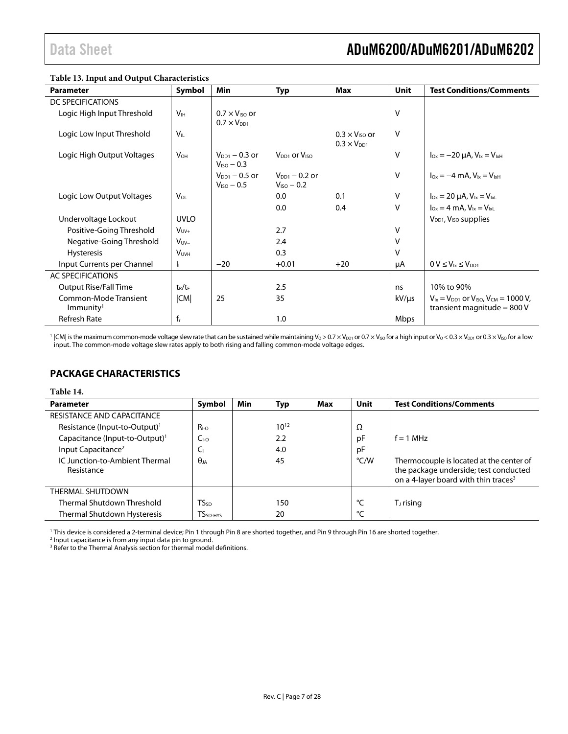| Table 15. Input and Output Characteristics     |                        |                                                 |                                              |                                                 |             |                                                                                       |
|------------------------------------------------|------------------------|-------------------------------------------------|----------------------------------------------|-------------------------------------------------|-------------|---------------------------------------------------------------------------------------|
| <b>Parameter</b>                               | Symbol                 | Min                                             | <b>Typ</b>                                   | Max                                             | <b>Unit</b> | <b>Test Conditions/Comments</b>                                                       |
| DC SPECIFICATIONS                              |                        |                                                 |                                              |                                                 |             |                                                                                       |
| Logic High Input Threshold                     | V <sub>IH</sub>        | $0.7 \times V_{ISO}$ or<br>$0.7 \times V_{DD1}$ |                                              |                                                 | $\vee$      |                                                                                       |
| Logic Low Input Threshold                      | $V_{IL}$               |                                                 |                                              | $0.3 \times V_{ISO}$ or<br>$0.3 \times V_{DD1}$ | v           |                                                                                       |
| Logic High Output Voltages                     | <b>V</b> <sub>OH</sub> | $V_{DD1} - 0.3$ or<br>$VISO - 0.3$              | V <sub>DD1</sub> or V <sub>ISO</sub>         |                                                 | v           | $I_{Ox} = -20 \mu A$ , $V_{1x} = V_{1xH}$                                             |
|                                                |                        | $V_{DD1} - 0.5$ or<br>$V_{ISO} - 0.5$           | $V_{\text{DD1}} - 0.2$ or<br>$V_{ISO} - 0.2$ |                                                 | v           | $I_{0x} = -4$ mA, $V_{1x} = V_{1xH}$                                                  |
| Logic Low Output Voltages                      | VOL                    |                                                 | 0.0                                          | 0.1                                             | V           | $I_{Ox} = 20 \mu A$ , $V_{1x} = V_{1xL}$                                              |
|                                                |                        |                                                 | 0.0                                          | 0.4                                             | $\vee$      | $I_{Ox} = 4$ mA, $V_{1x} = V_{1x}$                                                    |
| Undervoltage Lockout                           | <b>UVLO</b>            |                                                 |                                              |                                                 |             | V <sub>DD1</sub> , V <sub>ISO</sub> supplies                                          |
| Positive-Going Threshold                       | $V_{UV+}$              |                                                 | 2.7                                          |                                                 | $\vee$      |                                                                                       |
| Negative-Going Threshold                       | $V_{UV-}$              |                                                 | 2.4                                          |                                                 | V           |                                                                                       |
| <b>Hysteresis</b>                              | <b>VUVH</b>            |                                                 | 0.3                                          |                                                 | v           |                                                                                       |
| Input Currents per Channel                     | h.                     | $-20$                                           | $+0.01$                                      | $+20$                                           | μA          | $0 V \leq V_{1x} \leq V_{DD1}$                                                        |
| <b>AC SPECIFICATIONS</b>                       |                        |                                                 |                                              |                                                 |             |                                                                                       |
| <b>Output Rise/Fall Time</b>                   | $t_R/t_F$              |                                                 | 2.5                                          |                                                 | ns          | 10% to 90%                                                                            |
| Common-Mode Transient<br>Immunity <sup>1</sup> | CM                     | 25                                              | 35                                           |                                                 | $kV/\mu s$  | $V_{1x} = V_{DD1}$ or $V_{150}$ , $V_{CM} = 1000 V$ ,<br>transient magnitude = $800V$ |
| Refresh Rate                                   | $f_r$                  |                                                 | 1.0                                          |                                                 | Mbps        |                                                                                       |

**Table 13. Input and Output Characteristics** 

 $^1$  |CM| is the maximum common-mode voltage slew rate that can be sustained while maintaining Vo > 0.7 × V $_{\text{DD1}}$  or 0.7 × V $_{\text{ISO}}$  for a high input or Vo < 0.3 × V $_{\text{DD1}}$  or 0.3  $\times$  V $_{\text{SD1}}$  or 0.3  $\times$  V $_{\text{SO}}$ input. The common-mode voltage slew rates apply to both rising and falling common-mode voltage edges.

### <span id="page-6-0"></span>**PACKAGE CHARACTERISTICS**

#### <span id="page-6-1"></span>**Table 14.**

| <b>Parameter</b>                             | Symbol          | Min | Typ       | Max | <b>Unit</b>   | <b>Test Conditions/Comments</b>                                                                                                       |
|----------------------------------------------|-----------------|-----|-----------|-----|---------------|---------------------------------------------------------------------------------------------------------------------------------------|
| RESISTANCE AND CAPACITANCE                   |                 |     |           |     |               |                                                                                                                                       |
| Resistance (Input-to-Output) <sup>1</sup>    | $R_{I-O}$       |     | $10^{12}$ |     | Ω             |                                                                                                                                       |
| Capacitance (Input-to-Output) <sup>1</sup>   | C <sub>LO</sub> |     | 2.2       |     | pF            | $f = 1$ MHz                                                                                                                           |
| Input Capacitance <sup>2</sup>               | Cı              |     | 4.0       |     | pF            |                                                                                                                                       |
| IC Junction-to-Ambient Thermal<br>Resistance | $\theta_{IA}$   |     | 45        |     | $\degree$ C/W | Thermocouple is located at the center of<br>the package underside; test conducted<br>on a 4-layer board with thin traces <sup>3</sup> |
| THERMAL SHUTDOWN                             |                 |     |           |     |               |                                                                                                                                       |
| Thermal Shutdown Threshold                   | TSsp            |     | 150       |     | °⊂            | $T_J$ rising                                                                                                                          |
| Thermal Shutdown Hysteresis                  | $TSSD-HYS$      |     | 20        |     | $\circ$       |                                                                                                                                       |

<sup>1</sup> This device is considered a 2-terminal device; Pin 1 through Pin 8 are shorted together, and Pin 9 through Pin 16 are shorted together.<br><sup>2</sup> lnput capacitance is from any input data pin to ground

Input capacitance is from any input data pin to ground.

<sup>3</sup> Refer to th[e Thermal Analysis s](#page-21-0)ection for thermal model definitions.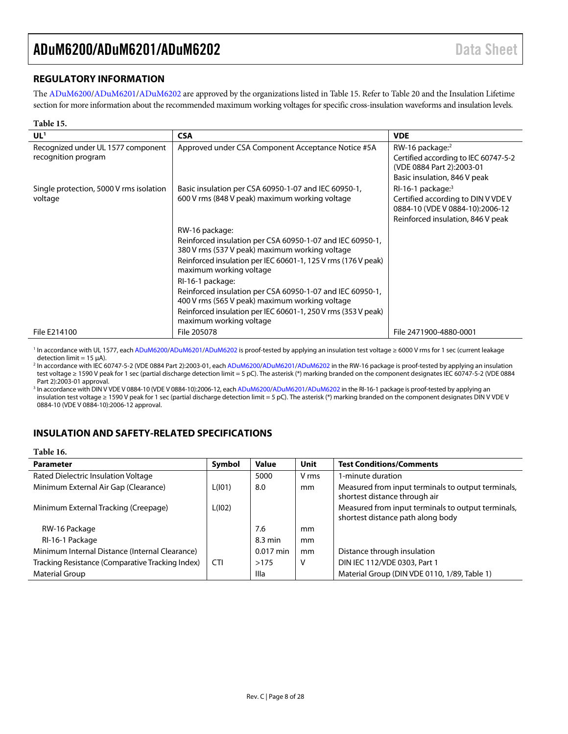### <span id="page-7-0"></span>**REGULATORY INFORMATION**

The [ADuM6200/](http://www.analog.com/ADuM6200)[ADuM6201/](http://www.analog.com/ADuM6201)[ADuM6202 a](http://www.analog.com/ADuM6202)re approved by the organizations listed i[n Table 15.](#page-7-2) Refer to [Table 20 a](#page-9-2)nd th[e Insulation Lifetime](#page-22-0)  section for more information about the recommended maximum working voltages for specific cross-insulation waveforms and insulation levels.

<span id="page-7-2"></span>

| Table 15.                                                 |                                                                                                             |                                                                                                                                      |
|-----------------------------------------------------------|-------------------------------------------------------------------------------------------------------------|--------------------------------------------------------------------------------------------------------------------------------------|
| UL <sup>1</sup>                                           | <b>CSA</b>                                                                                                  | <b>VDE</b>                                                                                                                           |
| Recognized under UL 1577 component<br>recognition program | Approved under CSA Component Acceptance Notice #5A                                                          | RW-16 package: <sup>2</sup><br>Certified according to IEC 60747-5-2<br>(VDE 0884 Part 2):2003-01<br>Basic insulation, 846 V peak     |
| Single protection, 5000 V rms isolation<br>voltage        | Basic insulation per CSA 60950-1-07 and IEC 60950-1,<br>600 V rms (848 V peak) maximum working voltage      | $RI-16-1$ package: $3$<br>Certified according to DIN V VDE V<br>0884-10 (VDE V 0884-10):2006-12<br>Reinforced insulation, 846 V peak |
|                                                           | RW-16 package:                                                                                              |                                                                                                                                      |
|                                                           | Reinforced insulation per CSA 60950-1-07 and IEC 60950-1,<br>380 V rms (537 V peak) maximum working voltage |                                                                                                                                      |
|                                                           | Reinforced insulation per IEC 60601-1, 125 V rms (176 V peak)<br>maximum working voltage                    |                                                                                                                                      |
|                                                           | RI-16-1 package:                                                                                            |                                                                                                                                      |
|                                                           | Reinforced insulation per CSA 60950-1-07 and IEC 60950-1,<br>400 V rms (565 V peak) maximum working voltage |                                                                                                                                      |
|                                                           | Reinforced insulation per IEC 60601-1, 250 V rms (353 V peak)<br>maximum working voltage                    |                                                                                                                                      |
| File E214100                                              | File 205078                                                                                                 | File 2471900-4880-0001                                                                                                               |

1 In accordance with UL 1577, eac[h ADuM6200/](http://www.analog.com/ADuM6200)[ADuM6201/](http://www.analog.com/ADuM6201)[ADuM6202 i](http://www.analog.com/ADuM6202)s proof-tested by applying an insulation test voltage ≥ 6000 V rms for 1 sec (current leakage detection limit =  $15 \mu$ A).

2 In accordance with IEC 60747-5-2 (VDE 0884 Part 2):2003-01, eac[h ADuM6200/](http://www.analog.com/ADuM6200)[ADuM6201/](http://www.analog.com/ADuM6201)[ADuM6202 i](http://www.analog.com/ADuM6202)n the RW-16 package is proof-tested by applying an insulation test voltage ≥ 1590 V peak for 1 sec (partial discharge detection limit = 5 pC). The asterisk (\*) marking branded on the component designates IEC 60747-5-2 (VDE 0884 Part 2):2003-01 approval.

<sup>3</sup> In accordance with DIN V VDE V 0884-10 (VDE V 0884-10):2006-12, eac[h ADuM6200/](http://www.analog.com/ADuM6200)[ADuM6201/](http://www.analog.com/ADuM6201)[ADuM6202 i](http://www.analog.com/ADuM6202)n the RI-16-1 package is proof-tested by applying an insulation test voltage ≥ 1590 V peak for 1 sec (partial discharge detection limit = 5 pC). The asterisk (\*) marking branded on the component designates DIN V VDE V 0884-10 (VDE V 0884-10):2006-12 approval.

### <span id="page-7-1"></span>**INSULATION AND SAFETY-RELATED SPECIFICATIONS**

| Table 16.                                        |            |              |             |                                                                                         |
|--------------------------------------------------|------------|--------------|-------------|-----------------------------------------------------------------------------------------|
| <b>Parameter</b>                                 | Symbol     | <b>Value</b> | <b>Unit</b> | <b>Test Conditions/Comments</b>                                                         |
| Rated Dielectric Insulation Voltage              |            | 5000         | V rms       | 1-minute duration                                                                       |
| Minimum External Air Gap (Clearance)             | L(101)     | 8.0          | mm          | Measured from input terminals to output terminals,<br>shortest distance through air     |
| Minimum External Tracking (Creepage)             | L(102)     |              |             | Measured from input terminals to output terminals,<br>shortest distance path along body |
| RW-16 Package                                    |            | 7.6          | mm          |                                                                                         |
| RI-16-1 Package                                  |            | 8.3 min      | mm          |                                                                                         |
| Minimum Internal Distance (Internal Clearance)   |            | $0.017$ min  | mm          | Distance through insulation                                                             |
| Tracking Resistance (Comparative Tracking Index) | <b>CTI</b> | >175         | v           | DIN IEC 112/VDE 0303, Part 1                                                            |
| Material Group                                   |            | Illa         |             | Material Group (DIN VDE 0110, 1/89, Table 1)                                            |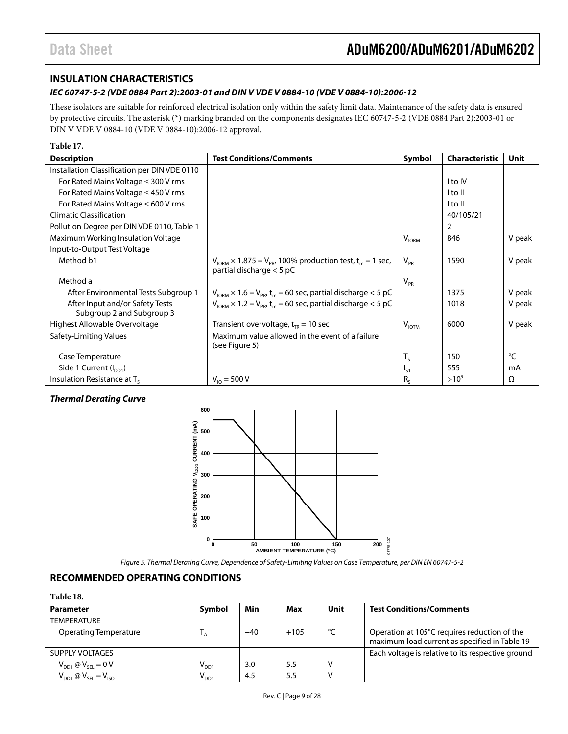### <span id="page-8-0"></span>**INSULATION CHARACTERISTICS**

### *IEC 60747-5-2 (VDE 0884 Part 2):2003-01 and DIN V VDE V 0884-10 (VDE V 0884-10):2006-12*

These isolators are suitable for reinforced electrical isolation only within the safety limit data. Maintenance of the safety data is ensured by protective circuits. The asterisk (\*) marking branded on the components designates IEC 60747-5-2 (VDE 0884 Part 2):2003-01 or DIN V VDE V 0884-10 (VDE V 0884-10):2006-12 approval.

| Table 17.                                                    |                                                                                                             |                  |                       |             |
|--------------------------------------------------------------|-------------------------------------------------------------------------------------------------------------|------------------|-----------------------|-------------|
| <b>Description</b>                                           | <b>Test Conditions/Comments</b>                                                                             | Symbol           | <b>Characteristic</b> | <b>Unit</b> |
| Installation Classification per DIN VDE 0110                 |                                                                                                             |                  |                       |             |
| For Rated Mains Voltage $\leq$ 300 V rms                     |                                                                                                             |                  | I to IV               |             |
| For Rated Mains Voltage $\leq$ 450 V rms                     |                                                                                                             |                  | l to Il               |             |
| For Rated Mains Voltage $\leq 600$ V rms                     |                                                                                                             |                  | I to II               |             |
| <b>Climatic Classification</b>                               |                                                                                                             |                  | 40/105/21             |             |
| Pollution Degree per DIN VDE 0110, Table 1                   |                                                                                                             |                  | 2                     |             |
| Maximum Working Insulation Voltage                           |                                                                                                             | V <sub>ION</sub> | 846                   | V peak      |
| Input-to-Output Test Voltage                                 |                                                                                                             |                  |                       |             |
| Method b1                                                    | $V_{IORM}$ × 1.875 = $V_{PR}$ , 100% production test, t <sub>m</sub> = 1 sec,<br>partial discharge $<$ 5 pC | $V_{PR}$         | 1590                  | V peak      |
| Method a                                                     |                                                                                                             | $V_{PR}$         |                       |             |
| After Environmental Tests Subgroup 1                         | $V_{\text{IORM}} \times 1.6 = V_{\text{PR}} t_{\text{m}} = 60 \text{ sec}$ , partial discharge < 5 pC       |                  | 1375                  | V peak      |
| After Input and/or Safety Tests<br>Subgroup 2 and Subgroup 3 | $V_{\text{IORM}} \times 1.2 = V_{\text{PR}} t_m = 60 \text{ sec}$ , partial discharge < 5 pC                |                  | 1018                  | V peak      |
| Highest Allowable Overvoltage                                | Transient overvoltage, $t_{TR}$ = 10 sec                                                                    | $V_{IOTM}$       | 6000                  | V peak      |
| Safety-Limiting Values                                       | Maximum value allowed in the event of a failure<br>(see Figure 5)                                           |                  |                       |             |
| Case Temperature                                             |                                                                                                             | $T_S$            | 150                   | °C          |
| Side 1 Current $(I_{DD1})$                                   |                                                                                                             | $I_{51}$         | 555                   | mA          |
| Insulation Resistance at T <sub>s</sub>                      | $V_{10} = 500 V$                                                                                            | $R_{c}$          | $>10^{9}$             | Ω           |

### *Thermal Derating Curve*



*Figure 5. Thermal Derating Curve, Dependence of Safety-Limiting Values on Case Temperature, per DIN EN 60747-5-2*

### <span id="page-8-2"></span><span id="page-8-1"></span>**RECOMMENDED OPERATING CONDITIONS**

| <b>Parameter</b>                | Symbol                      | Min   | Max    | Unit | <b>Test Conditions/Comments</b>                   |
|---------------------------------|-----------------------------|-------|--------|------|---------------------------------------------------|
| <b>TEMPERATURE</b>              |                             |       |        |      |                                                   |
| Operating Temperature           |                             | $-40$ | $+105$ | °C   | Operation at 105°C requires reduction of the      |
|                                 |                             |       |        |      | maximum load current as specified in Table 19     |
| SUPPLY VOLTAGES                 |                             |       |        |      | Each voltage is relative to its respective ground |
| $V_{DD1} \otimes V_{SEL} = 0 V$ | $\mathsf{V}_{\mathsf{DD1}}$ | 3.0   | 5.5    |      |                                                   |
| $V_{DD1}$ @ $V_{SEL} = V_{ISO}$ | $V_{DD1}$                   | 4.5   | 5.5    |      |                                                   |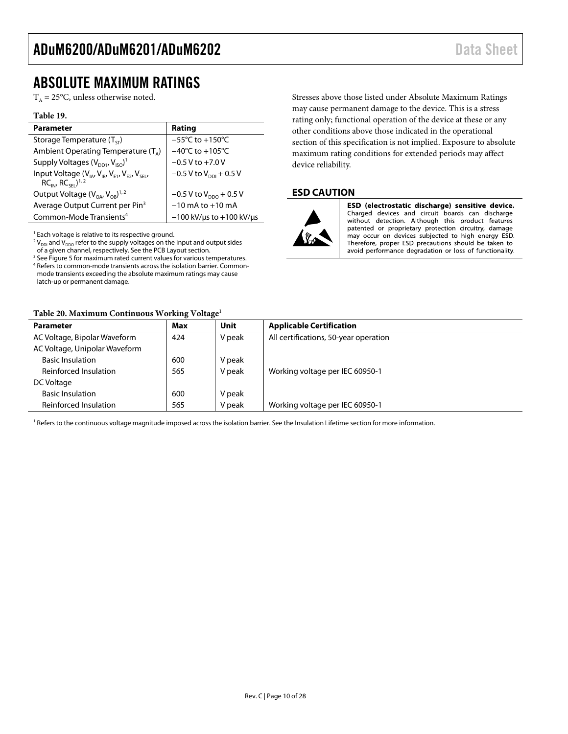### <span id="page-9-0"></span>ABSOLUTE MAXIMUM RATINGS

 $T_A = 25$ °C, unless otherwise noted.

#### <span id="page-9-3"></span>**Table 19.**

| <b>Parameter</b>                                                                               | Rating                               |
|------------------------------------------------------------------------------------------------|--------------------------------------|
| Storage Temperature $(T_{cr})$                                                                 | $-55^{\circ}$ C to $+150^{\circ}$ C  |
| Ambient Operating Temperature $(T_{\alpha})$                                                   | $-40^{\circ}$ C to $+105^{\circ}$ C  |
| Supply Voltages $(V_{DD1}, V_{ISO})^T$                                                         | $-0.5$ V to $+7.0$ V                 |
| Input Voltage $(V_{IA}, V_{IB}, V_{E1}, V_{E2}, V_{SE1})$<br>$RCINJ$ , $RCSE1$ <sup>1, 2</sup> | $-0.5$ V to V <sub>ppi</sub> + 0.5 V |
| Output Voltage $(V_{OA}$ , $V_{OR}$ <sup>1, 2</sup>                                            | $-0.5$ V to V <sub>ppo</sub> + 0.5 V |
| Average Output Current per Pin <sup>3</sup>                                                    | $-10$ mA to $+10$ mA                 |
| Common-Mode Transients <sup>4</sup>                                                            | $-100$ kV/us to $+100$ kV/us         |

<sup>1</sup> Each voltage is relative to its respective ground.

 $2 V_{\text{DDI}}$  and  $V_{\text{DDO}}$  refer to the supply voltages on the input and output sides of a given channel, respectively. See th[e PCB Layout](#page-17-1) section.

 $3$  Se[e Figure 5](#page-8-2) for maximum rated current values for various temperatures. <sup>4</sup> Refers to common-mode transients across the isolation barrier. Commonmode transients exceeding the absolute maximum ratings may cause latch-up or permanent damage.

#### <span id="page-9-2"></span>**Table 20. Maximum Continuous Working Voltage<sup>1</sup>**

Stresses above those listed under Absolute Maximum Ratings may cause permanent damage to the device. This is a stress rating only; functional operation of the device at these or any other conditions above those indicated in the operational section of this specification is not implied. Exposure to absolute maximum rating conditions for extended periods may affect device reliability.

### <span id="page-9-1"></span>**ESD CAUTION**



ESD (electrostatic discharge) sensitive device. Charged devices and circuit boards can discharge without detection. Although this product features patented or proprietary protection circuitry, damage may occur on devices subjected to high energy ESD. Therefore, proper ESD precautions should be taken to avoid performance degradation or loss of functionality.

| <b>Parameter</b>              | Max | Unit   | <b>Applicable Certification</b>       |
|-------------------------------|-----|--------|---------------------------------------|
| AC Voltage, Bipolar Waveform  | 424 | V peak | All certifications, 50-year operation |
| AC Voltage, Unipolar Waveform |     |        |                                       |
| <b>Basic Insulation</b>       | 600 | V peak |                                       |
| Reinforced Insulation         | 565 | V peak | Working voltage per IEC 60950-1       |
| DC Voltage                    |     |        |                                       |
| <b>Basic Insulation</b>       | 600 | V peak |                                       |
| Reinforced Insulation         | 565 | V peak | Working voltage per IEC 60950-1       |

<sup>1</sup> Refers to the continuous voltage magnitude imposed across the isolation barrier. See th[e Insulation Lifetime](#page-22-0) section for more information.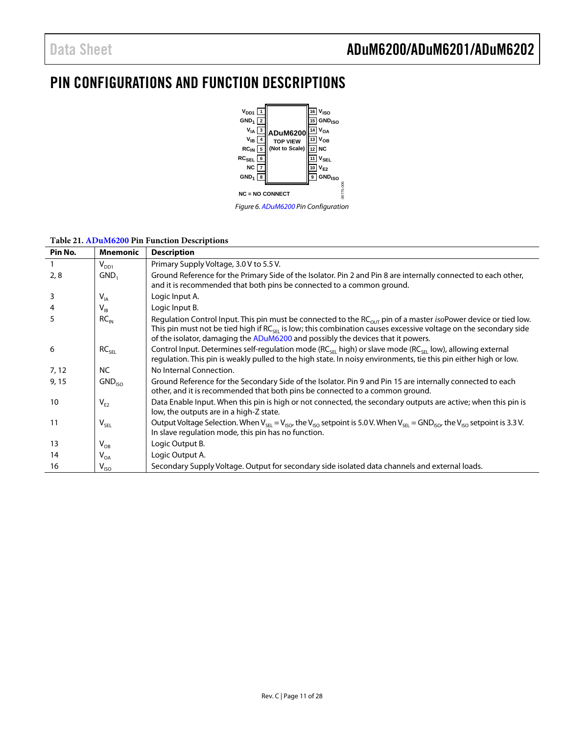### <span id="page-10-0"></span>PIN CONFIGURATIONS AND FUNCTION DESCRIPTIONS



### **Table 21[. ADuM6200](http://www.analog.com/ADuM6200) Pin Function Descriptions**

| Pin No. | <b>Mnemonic</b>    | <b>Description</b>                                                                                                                                                                                                                                                                                                                                   |
|---------|--------------------|------------------------------------------------------------------------------------------------------------------------------------------------------------------------------------------------------------------------------------------------------------------------------------------------------------------------------------------------------|
|         | $V_{DD1}$          | Primary Supply Voltage, 3.0 V to 5.5 V.                                                                                                                                                                                                                                                                                                              |
| 2, 8    | GND,               | Ground Reference for the Primary Side of the Isolator. Pin 2 and Pin 8 are internally connected to each other,<br>and it is recommended that both pins be connected to a common ground.                                                                                                                                                              |
| 3       | $V_{IA}$           | Logic Input A.                                                                                                                                                                                                                                                                                                                                       |
|         | $V_{IB}$           | Logic Input B.                                                                                                                                                                                                                                                                                                                                       |
| 5       | $RC_{IN}$          | Regulation Control Input. This pin must be connected to the RC <sub>OUT</sub> pin of a master <i>iso</i> Power device or tied low.<br>This pin must not be tied high if RC <sub>SEI</sub> is low; this combination causes excessive voltage on the secondary side<br>of the isolator, damaging the ADuM6200 and possibly the devices that it powers. |
| 6       | RC <sub>SEL</sub>  | Control Input. Determines self-regulation mode ( $RC_{\text{SE}}$ high) or slave mode ( $RC_{\text{SE}}$ low), allowing external<br>regulation. This pin is weakly pulled to the high state. In noisy environments, tie this pin either high or low.                                                                                                 |
| 7, 12   | <b>NC</b>          | No Internal Connection.                                                                                                                                                                                                                                                                                                                              |
| 9, 15   | GND <sub>ISO</sub> | Ground Reference for the Secondary Side of the Isolator. Pin 9 and Pin 15 are internally connected to each<br>other, and it is recommended that both pins be connected to a common ground.                                                                                                                                                           |
| 10      | $V_{E2}$           | Data Enable Input. When this pin is high or not connected, the secondary outputs are active; when this pin is<br>low, the outputs are in a high-Z state.                                                                                                                                                                                             |
| 11      | $V_{SEL}$          | Output Voltage Selection. When $V_{SE} = V_{ISO}$ , the $V_{ISO}$ setpoint is 5.0 V. When $V_{SE} = GND_{ISO}$ , the $V_{ISO}$ setpoint is 3.3 V.<br>In slave regulation mode, this pin has no function.                                                                                                                                             |
| 13      | $V_{OB}$           | Logic Output B.                                                                                                                                                                                                                                                                                                                                      |
| 14      | $V_{OA}$           | Logic Output A.                                                                                                                                                                                                                                                                                                                                      |
| 16      | $V_{ISO}$          | Secondary Supply Voltage. Output for secondary side isolated data channels and external loads.                                                                                                                                                                                                                                                       |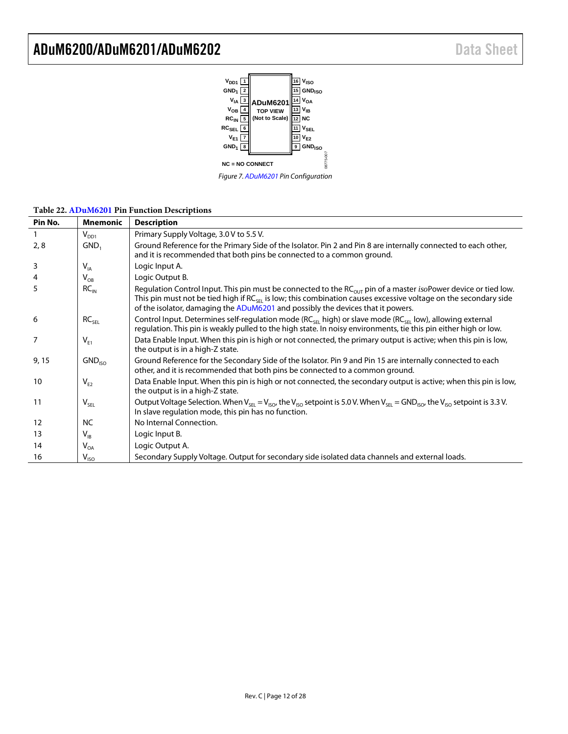

| Pin No. | <b>Mnemonic</b>    | <b>Description</b>                                                                                                                                                                                                                                                                                                                           |
|---------|--------------------|----------------------------------------------------------------------------------------------------------------------------------------------------------------------------------------------------------------------------------------------------------------------------------------------------------------------------------------------|
|         | $V_{DD1}$          | Primary Supply Voltage, 3.0 V to 5.5 V.                                                                                                                                                                                                                                                                                                      |
| 2, 8    | GND,               | Ground Reference for the Primary Side of the Isolator. Pin 2 and Pin 8 are internally connected to each other,<br>and it is recommended that both pins be connected to a common ground.                                                                                                                                                      |
| 3       | $V_{IA}$           | Logic Input A.                                                                                                                                                                                                                                                                                                                               |
| 4       | $V_{OB}$           | Logic Output B.                                                                                                                                                                                                                                                                                                                              |
| 5       | $RC_{IN}$          | Regulation Control Input. This pin must be connected to the RC <sub>OUT</sub> pin of a master <i>iso</i> Power device or tied low.<br>This pin must not be tied high if $RC_{SE}$ is low; this combination causes excessive voltage on the secondary side<br>of the isolator, damaging the ADuM6201 and possibly the devices that it powers. |
| 6       | RC <sub>SEL</sub>  | Control Input. Determines self-regulation mode (RC <sub>SEL</sub> high) or slave mode (RC <sub>SEL</sub> low), allowing external<br>regulation. This pin is weakly pulled to the high state. In noisy environments, tie this pin either high or low.                                                                                         |
| 7       | $V_{F1}$           | Data Enable Input. When this pin is high or not connected, the primary output is active; when this pin is low,<br>the output is in a high-Z state.                                                                                                                                                                                           |
| 9,15    | GND <sub>ISO</sub> | Ground Reference for the Secondary Side of the Isolator. Pin 9 and Pin 15 are internally connected to each<br>other, and it is recommended that both pins be connected to a common ground.                                                                                                                                                   |
| 10      | $V_{E2}$           | Data Enable Input. When this pin is high or not connected, the secondary output is active; when this pin is low,<br>the output is in a high-Z state.                                                                                                                                                                                         |
| 11      | $V_{SEL}$          | Output Voltage Selection. When $V_{SE} = V_{ISO}$ , the $V_{ISO}$ setpoint is 5.0 V. When $V_{SE} =$ GND <sub>ISO</sub> , the V <sub>ISO</sub> setpoint is 3.3 V.<br>In slave regulation mode, this pin has no function.                                                                                                                     |
| 12      | <b>NC</b>          | No Internal Connection.                                                                                                                                                                                                                                                                                                                      |
| 13      | $V_{IB}$           | Logic Input B.                                                                                                                                                                                                                                                                                                                               |
| 14      | $V_{OA}$           | Logic Output A.                                                                                                                                                                                                                                                                                                                              |
| 16      | $V_{ISO}$          | Secondary Supply Voltage. Output for secondary side isolated data channels and external loads.                                                                                                                                                                                                                                               |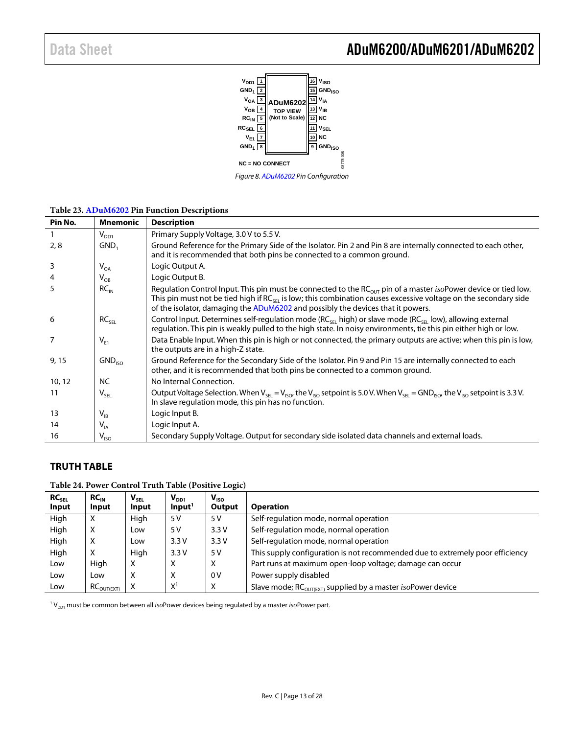

**Table 23[. ADuM6202](http://www.analog.com/ADuM6202) Pin Function Descriptions**

| Pin No. | <b>Mnemonic</b>             | <b>Description</b>                                                                                                                                                                                                                                                                                                                                   |
|---------|-----------------------------|------------------------------------------------------------------------------------------------------------------------------------------------------------------------------------------------------------------------------------------------------------------------------------------------------------------------------------------------------|
|         | $V_{DD1}$                   | Primary Supply Voltage, 3.0 V to 5.5 V.                                                                                                                                                                                                                                                                                                              |
| 2, 8    | GND,                        | Ground Reference for the Primary Side of the Isolator. Pin 2 and Pin 8 are internally connected to each other,<br>and it is recommended that both pins be connected to a common ground.                                                                                                                                                              |
| 3       | $\mathsf{V}_{\mathsf{OA}}$  | Logic Output A.                                                                                                                                                                                                                                                                                                                                      |
| 4       | $V_{OB}$                    | Logic Output B.                                                                                                                                                                                                                                                                                                                                      |
| 5       | RC <sub>IN</sub>            | Regulation Control Input. This pin must be connected to the RC <sub>OUT</sub> pin of a master <i>iso</i> Power device or tied low.<br>This pin must not be tied high if RC <sub>SEI</sub> is low; this combination causes excessive voltage on the secondary side<br>of the isolator, damaging the ADuM6202 and possibly the devices that it powers. |
| -6      | RC <sub>SEI</sub>           | Control Input. Determines self-regulation mode (RC <sub>SEL</sub> high) or slave mode (RC <sub>SEL</sub> low), allowing external<br>regulation. This pin is weakly pulled to the high state. In noisy environments, tie this pin either high or low.                                                                                                 |
| 7       | $V_{E1}$                    | Data Enable Input. When this pin is high or not connected, the primary outputs are active; when this pin is low,<br>the outputs are in a high-Z state.                                                                                                                                                                                               |
| 9, 15   | GND <sub>ISO</sub>          | Ground Reference for the Secondary Side of the Isolator. Pin 9 and Pin 15 are internally connected to each<br>other, and it is recommended that both pins be connected to a common ground.                                                                                                                                                           |
| 10, 12  | <b>NC</b>                   | No Internal Connection.                                                                                                                                                                                                                                                                                                                              |
| 11      | $\mathsf{V}_{\mathsf{SEL}}$ | Output Voltage Selection. When $V_{SE} = V_{ISO}$ , the $V_{ISO}$ setpoint is 5.0 V. When $V_{SE}$ = GND <sub>ISO</sub> , the V <sub>ISO</sub> setpoint is 3.3 V.<br>In slave regulation mode, this pin has no function.                                                                                                                             |
| 13      | $V_{IB}$                    | Logic Input B.                                                                                                                                                                                                                                                                                                                                       |
| 14      | $V_{IA}$                    | Logic Input A.                                                                                                                                                                                                                                                                                                                                       |
| 16      | $V_{ISO}$                   | Secondary Supply Voltage. Output for secondary side isolated data channels and external loads.                                                                                                                                                                                                                                                       |

### <span id="page-12-0"></span>**TRUTH TABLE**

| Table 24. Power Control Truth Table (Positive Logic) |  |  |  |  |  |  |
|------------------------------------------------------|--|--|--|--|--|--|
|------------------------------------------------------|--|--|--|--|--|--|

| RC <sub>SEL</sub><br>Input | $RC_{IN}$<br>Input     | $V_{\rm SEL}$<br>Input | $V_{DD1}$<br>Input <sup>1</sup> | V <sub>ISO</sub><br>Output | <b>Operation</b>                                                                |
|----------------------------|------------------------|------------------------|---------------------------------|----------------------------|---------------------------------------------------------------------------------|
| High                       | х                      | High                   | 5 V                             | 5 V                        | Self-regulation mode, normal operation                                          |
| High                       | Χ                      | Low                    | 5V                              | 3.3V                       | Self-regulation mode, normal operation                                          |
| High                       | Χ                      | Low                    | 3.3V                            | 3.3V                       | Self-regulation mode, normal operation                                          |
| High                       | Χ                      | High                   | 3.3V                            | 5 V                        | This supply configuration is not recommended due to extremely poor efficiency   |
| Low                        | High                   | х                      | х                               | X                          | Part runs at maximum open-loop voltage; damage can occur                        |
| Low                        | Low                    | х                      | X                               | 0V                         | Power supply disabled                                                           |
| Low                        | RC <sub>OUT(EXT)</sub> | х                      | $X^1$                           | X                          | Slave mode; $RC_{\text{OUT}}(ext)$ supplied by a master <i>iso</i> Power device |

<sup>1</sup> V<sub>DD1</sub> must be common between all *iso*Power devices being regulated by a master *iso*Power part.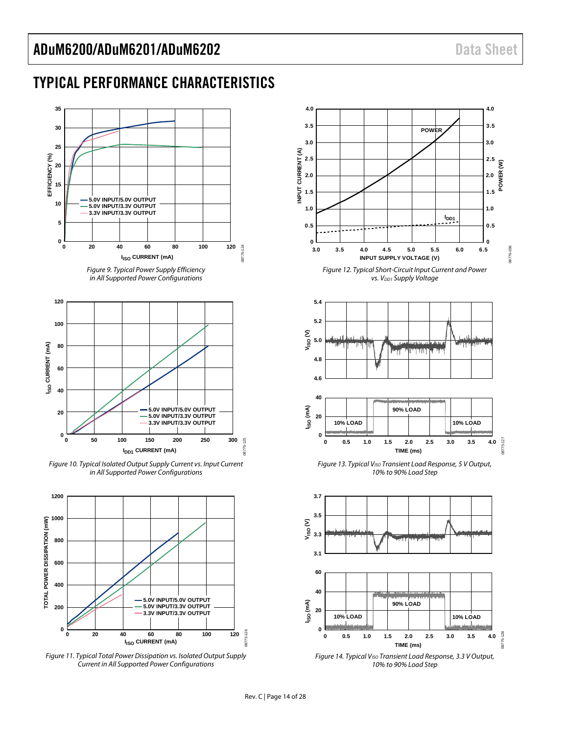08775-036

### <span id="page-13-0"></span>TYPICAL PERFORMANCE CHARACTERISTICS

<span id="page-13-3"></span>

<span id="page-13-1"></span>Figure 11. Typical Total Power Dissipation vs. Isolated Output Supply Current in All Supported Power Configurations

<span id="page-13-2"></span>



Figure 14. Typical V<sub>ISO</sub> Transient Load Response, 3.3 V Output, 10% to 90% Load Step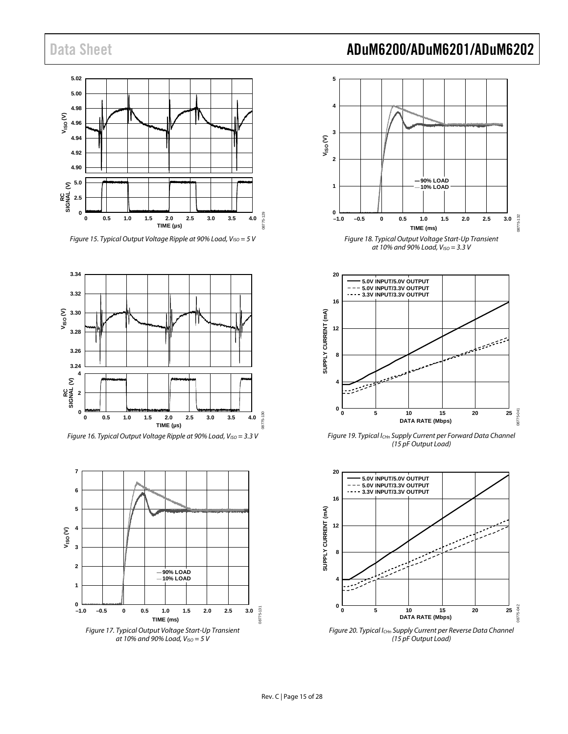

Figure 15. Typical Output Voltage Ripple at 90% Load,  $V_{ISO} = 5$  V





<span id="page-14-0"></span>

### Data Sheet **ADuM6200/ADuM6201/ADuM6202**



<span id="page-14-1"></span>

<span id="page-14-2"></span>Figure 19. Typical I<sub>CHn</sub> Supply Current per Forward Data Channel (15 pF Output Load)



<span id="page-14-3"></span>Figure 20. Typical I<sub>CHn</sub> Supply Current per Reverse Data Channel (15 pF Output Load)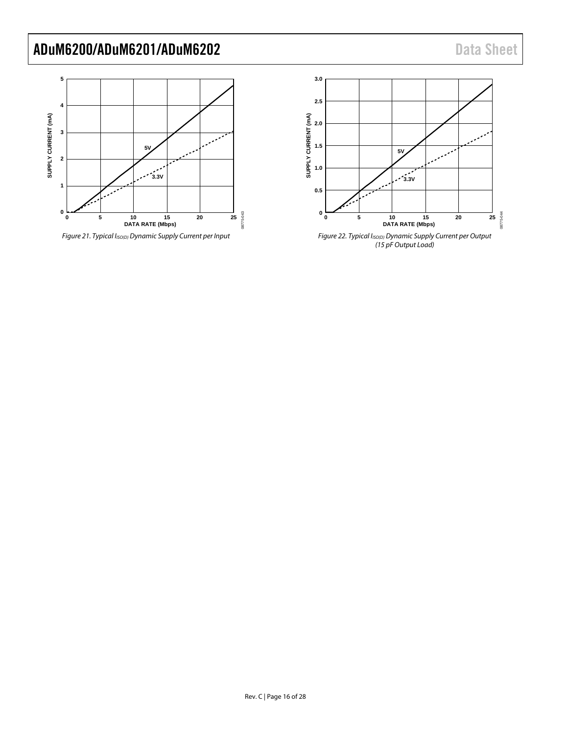### ADuM6200/ADuM6201/ADuM6202 Data Sheet



Figure 21. Typical I<sub>ISO(D)</sub> Dynamic Supply Current per Input



Figure 22. Typical I<sub>ISO(D)</sub> Dynamic Supply Current per Output (15 pF Output Load)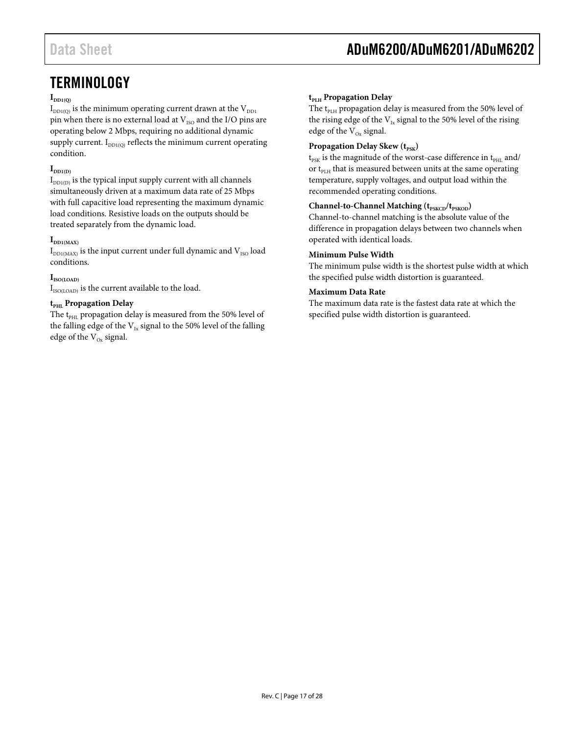### <span id="page-16-0"></span>**TERMINOLOGY**

### $\mathbf{I}_{\text{DD1}(\text{O})}$

 $I_{DD1(0)}$  is the minimum operating current drawn at the  $V_{DD1}$ pin when there is no external load at  $V_{ISO}$  and the I/O pins are operating below 2 Mbps, requiring no additional dynamic supply current.  $I_{DD1(Q)}$  reflects the minimum current operating condition.

### $\mathbf{I}_{\text{DD1(D)}}$

 $I_{DD1(D)}$  is the typical input supply current with all channels simultaneously driven at a maximum data rate of 25 Mbps with full capacitive load representing the maximum dynamic load conditions. Resistive loads on the outputs should be treated separately from the dynamic load.

### $\mathbf{I}_{\text{DD1}(MAX)}$

 $I_{DD1(MAX)}$  is the input current under full dynamic and  $V_{ISO}$  load conditions.

### **IISO(LOAD)**

 $I_{\text{ISO(LOAD)}}$  is the current available to the load.

### $t_{\text{PHL}}$  **Propagation Delay**

The  $t_{\text{PHL}}$  propagation delay is measured from the 50% level of the falling edge of the  $V_{Ix}$  signal to the 50% level of the falling edge of the  $V_{Ox}$  signal.

### $t_{\text{PIH}}$  **Propagation Delay**

The t<sub>PLH</sub> propagation delay is measured from the 50% level of the rising edge of the  $\rm V_{Ix}$  signal to the 50% level of the rising edge of the  $V_{Ox}$  signal.

### **Propagation Delay Skew** ( $t_{PSK}$ )

 ${\rm t_{PSK}}$  is the magnitude of the worst-case difference in  ${\rm t_{PHL}}$  and/ or  $t_{PIH}$  that is measured between units at the same operating temperature, supply voltages, and output load within the recommended operating conditions.

### **Channel-to-Channel Matching** ( $t_{PSKCD}/t_{PSKOD}$ )

Channel-to-channel matching is the absolute value of the difference in propagation delays between two channels when operated with identical loads.

#### **Minimum Pulse Width**

The minimum pulse width is the shortest pulse width at which the specified pulse width distortion is guaranteed.

### **Maximum Data Rate**

The maximum data rate is the fastest data rate at which the specified pulse width distortion is guaranteed.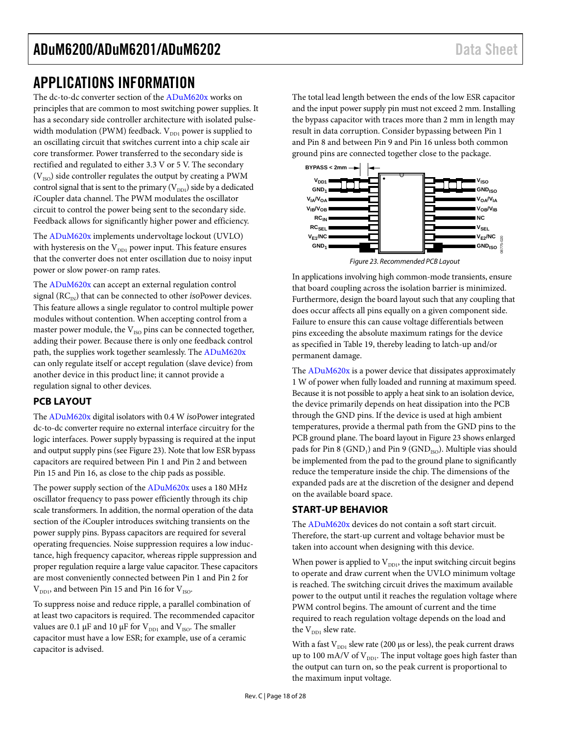### <span id="page-17-0"></span>APPLICATIONS INFORMATION

The dc-to-dc converter section of the [ADuM620x](http://www.analog.com/ADuM620) works on principles that are common to most switching power supplies. It has a secondary side controller architecture with isolated pulsewidth modulation (PWM) feedback.  $V_{DD1}$  power is supplied to an oscillating circuit that switches current into a chip scale air core transformer. Power transferred to the secondary side is rectified and regulated to either 3.3 V or 5 V. The secondary  $(V<sub>ISO</sub>)$  side controller regulates the output by creating a PWM control signal that is sent to the primary  $(V_{DD1})$  side by a dedicated *i*Coupler data channel. The PWM modulates the oscillator circuit to control the power being sent to the secondary side. Feedback allows for significantly higher power and efficiency.

The [ADuM620x](http://www.analog.com/ADuM620) implements undervoltage lockout (UVLO) with hysteresis on the  $V_{DD1}$  power input. This feature ensures that the converter does not enter oscillation due to noisy input power or slow power-on ramp rates.

The [ADuM620x](http://www.analog.com/ADuM620) can accept an external regulation control signal  $(RC<sub>IN</sub>)$  that can be connected to other *iso*Power devices. This feature allows a single regulator to control multiple power modules without contention. When accepting control from a master power module, the  $V_{ISO}$  pins can be connected together, adding their power. Because there is only one feedback control path, the supplies work together seamlessly. The [ADuM620x](http://www.analog.com/ADuM620) can only regulate itself or accept regulation (slave device) from another device in this product line; it cannot provide a regulation signal to other devices.

### <span id="page-17-1"></span>**PCB LAYOUT**

Th[e ADuM620x](http://www.analog.com/ADuM620) digital isolators with 0.4 W *iso*Power integrated dc-to-dc converter require no external interface circuitry for the logic interfaces. Power supply bypassing is required at the input and output supply pins (se[e Figure 23\)](#page-17-3). Note that low ESR bypass capacitors are required between Pin 1 and Pin 2 and between Pin 15 and Pin 16, as close to the chip pads as possible.

The power supply section of the [ADuM620x](http://www.analog.com/ADuM620) uses a 180 MHz oscillator frequency to pass power efficiently through its chip scale transformers. In addition, the normal operation of the data section of the *i*Coupler introduces switching transients on the power supply pins. Bypass capacitors are required for several operating frequencies. Noise suppression requires a low inductance, high frequency capacitor, whereas ripple suppression and proper regulation require a large value capacitor. These capacitors are most conveniently connected between Pin 1 and Pin 2 for  $V_{\text{DD1}}$ , and between Pin 15 and Pin 16 for  $V_{\text{ISO}}$ .

To suppress noise and reduce ripple, a parallel combination of at least two capacitors is required. The recommended capacitor values are 0.1  $\upmu\text{F}$  and 10  $\upmu\text{F}$  for  $\text{V}_{\text{DD1}}$  and  $\text{V}_{\text{ISO}}.$  The smaller capacitor must have a low ESR; for example, use of a ceramic capacitor is advised.

The total lead length between the ends of the low ESR capacitor and the input power supply pin must not exceed 2 mm. Installing the bypass capacitor with traces more than 2 mm in length may result in data corruption. Consider bypassing between Pin 1 and Pin 8 and between Pin 9 and Pin 16 unless both common ground pins are connected together close to the package.



*Figure 23. Recommended PCB Layout*

<span id="page-17-3"></span>In applications involving high common-mode transients, ensure that board coupling across the isolation barrier is minimized. Furthermore, design the board layout such that any coupling that does occur affects all pins equally on a given component side. Failure to ensure this can cause voltage differentials between pins exceeding the absolute maximum ratings for the device as specified i[n Table 19,](#page-9-3) thereby leading to latch-up and/or permanent damage.

The **ADuM620x** is a power device that dissipates approximately 1 W of power when fully loaded and running at maximum speed. Because it is not possible to apply a heat sink to an isolation device, the device primarily depends on heat dissipation into the PCB through the GND pins. If the device is used at high ambient temperatures, provide a thermal path from the GND pins to the PCB ground plane. The board layout i[n Figure 23](#page-17-3) shows enlarged pads for Pin 8 (GND<sub>1</sub>) and Pin 9 (GND<sub>ISO</sub>). Multiple vias should be implemented from the pad to the ground plane to significantly reduce the temperature inside the chip. The dimensions of the expanded pads are at the discretion of the designer and depend on the available board space.

### <span id="page-17-2"></span>**START-UP BEHAVIOR**

The [ADuM620x](http://www.analog.com/ADuM620) devices do not contain a soft start circuit. Therefore, the start-up current and voltage behavior must be taken into account when designing with this device.

When power is applied to  $V_{DD1}$ , the input switching circuit begins to operate and draw current when the UVLO minimum voltage is reached. The switching circuit drives the maximum available power to the output until it reaches the regulation voltage where PWM control begins. The amount of current and the time required to reach regulation voltage depends on the load and the  $V_{DD1}$  slew rate.

With a fast  $V_{DD1}$  slew rate (200 µs or less), the peak current draws up to 100 mA/V of  $V_{DD1}$ . The input voltage goes high faster than the output can turn on, so the peak current is proportional to the maximum input voltage.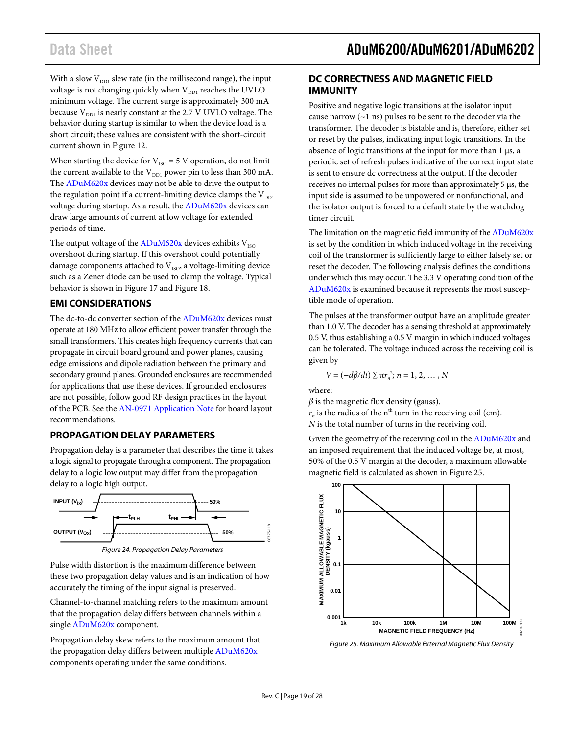With a slow  $V_{DD1}$  slew rate (in the millisecond range), the input voltage is not changing quickly when  $\rm V_{DD1}$  reaches the UVLO minimum voltage. The current surge is approximately 300 mA because  $V_{DD1}$  is nearly constant at the 2.7 V UVLO voltage. The behavior during startup is similar to when the device load is a short circuit; these values are consistent with the short-circuit current shown in [Figure 12.](#page-13-2)

When starting the device for  $V_{ISO} = 5$  V operation, do not limit the current available to the  $V_{DD1}$  power pin to less than 300 mA. The [ADuM620x](http://www.analog.com/ADuM620) devices may not be able to drive the output to the regulation point if a current-limiting device clamps the  $V_{DD1}$ voltage during startup. As a result, th[e ADuM620x](http://www.analog.com/ADuM620) devices can draw large amounts of current at low voltage for extended periods of time.

The output voltage of the  $ADuM620x$  devices exhibits  $V_{ISO}$ overshoot during startup. If this overshoot could potentially damage components attached to  $V_{ISO}$ , a voltage-limiting device such as a Zener diode can be used to clamp the voltage. Typical behavior is shown in [Figure 17](#page-14-0) an[d Figure 18.](#page-14-1)

### <span id="page-18-0"></span>**EMI CONSIDERATIONS**

The dc-to-dc converter section of the [ADuM620x](http://www.analog.com/ADuM620) devices must operate at 180 MHz to allow efficient power transfer through the small transformers. This creates high frequency currents that can propagate in circuit board ground and power planes, causing edge emissions and dipole radiation between the primary and secondary ground planes. Grounded enclosures are recommended for applications that use these devices. If grounded enclosures are not possible, follow good RF design practices in the layout of the PCB. See th[e AN-0971 Application Note](http://www.analog.com/AN-0971) for board layout recommendations.

### <span id="page-18-1"></span>**PROPAGATION DELAY PARAMETERS**

Propagation delay is a parameter that describes the time it takes a logic signal to propagate through a component. The propagation delay to a logic low output may differ from the propagation delay to a logic high output.



Pulse width distortion is the maximum difference between these two propagation delay values and is an indication of how accurately the timing of the input signal is preserved.

Channel-to-channel matching refers to the maximum amount that the propagation delay differs between channels within a singl[e ADuM620x](http://www.analog.com/ADuM620) component.

Propagation delay skew refers to the maximum amount that the propagation delay differs between multiple [ADuM620x](http://www.analog.com/ADuM620) components operating under the same conditions.

### <span id="page-18-2"></span>**DC CORRECTNESS AND MAGNETIC FIELD IMMUNITY**

Positive and negative logic transitions at the isolator input cause narrow  $(-1 \text{ ns})$  pulses to be sent to the decoder via the transformer. The decoder is bistable and is, therefore, either set or reset by the pulses, indicating input logic transitions. In the absence of logic transitions at the input for more than 1 µs, a periodic set of refresh pulses indicative of the correct input state is sent to ensure dc correctness at the output. If the decoder receives no internal pulses for more than approximately 5 µs, the input side is assumed to be unpowered or nonfunctional, and the isolator output is forced to a default state by the watchdog timer circuit.

The limitation on the magnetic field immunity of the [ADuM620x](http://www.analog.com/ADuM620) is set by the condition in which induced voltage in the receiving coil of the transformer is sufficiently large to either falsely set or reset the decoder. The following analysis defines the conditions under which this may occur. The 3.3 V operating condition of the [ADuM620x](http://www.analog.com/ADuM620) is examined because it represents the most susceptible mode of operation.

The pulses at the transformer output have an amplitude greater than 1.0 V. The decoder has a sensing threshold at approximately 0.5 V, thus establishing a 0.5 V margin in which induced voltages can be tolerated. The voltage induced across the receiving coil is given by

$$
V = (-d\beta/dt) \sum \pi r_n^2; n = 1, 2, ..., N
$$

where:

 $\beta$  is the magnetic flux density (gauss).  $r_n$  is the radius of the n<sup>th</sup> turn in the receiving coil (cm).

*N* is the total number of turns in the receiving coil.

Given the geometry of the receiving coil in the [ADuM620x](http://www.analog.com/ADuM620) and an imposed requirement that the induced voltage be, at most, 50% of the 0.5 V margin at the decoder, a maximum allowable magnetic field is calculated as shown i[n Figure 25.](#page-18-3)



<span id="page-18-3"></span>*Figure 25. Maximum Allowable External Magnetic Flux Density*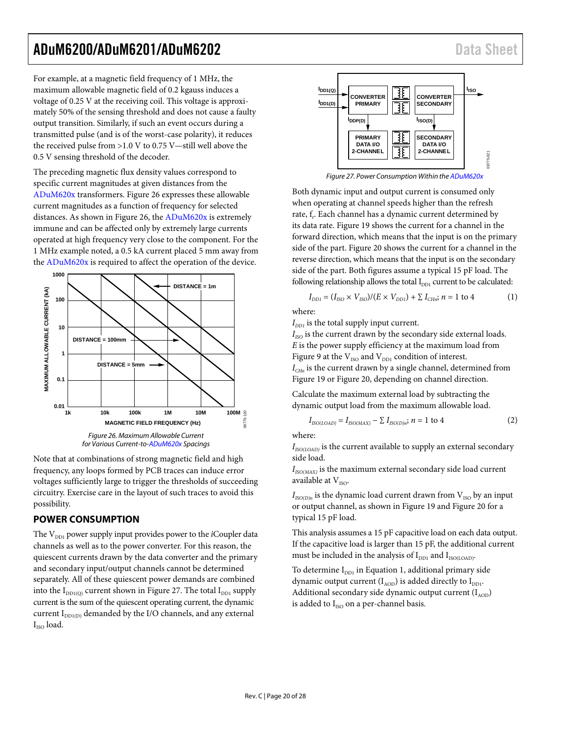### ADuM6200/ADuM6201/ADuM6202 Data Sheet

For example, at a magnetic field frequency of 1 MHz, the maximum allowable magnetic field of 0.2 kgauss induces a voltage of 0.25 V at the receiving coil. This voltage is approximately 50% of the sensing threshold and does not cause a faulty output transition. Similarly, if such an event occurs during a transmitted pulse (and is of the worst-case polarity), it reduces the received pulse from >1.0 V to 0.75 V—still well above the 0.5 V sensing threshold of the decoder.

The preceding magnetic flux density values correspond to specific current magnitudes at given distances from the [ADuM620x](http://www.analog.com/ADuM620) transformers[. Figure 26](#page-19-1) expresses these allowable current magnitudes as a function of frequency for selected distances. As shown in [Figure 26,](#page-19-1) the [ADuM620x](http://www.analog.com/ADuM620) is extremely immune and can be affected only by extremely large currents operated at high frequency very close to the component. For the 1 MHz example noted, a 0.5 kA current placed 5 mm away from the [ADuM620x](http://www.analog.com/ADuM620) is required to affect the operation of the device.



<span id="page-19-1"></span>Note that at combinations of strong magnetic field and high frequency, any loops formed by PCB traces can induce error voltages sufficiently large to trigger the thresholds of succeeding circuitry. Exercise care in the layout of such traces to avoid this possibility.

### <span id="page-19-0"></span>**POWER CONSUMPTION**

The V<sub>DD1</sub> power supply input provides power to the *i*Coupler data channels as well as to the power converter. For this reason, the quiescent currents drawn by the data converter and the primary and secondary input/output channels cannot be determined separately. All of these quiescent power demands are combined into the  $I_{DD1(Q)}$  current shown i[n Figure 27.](#page-19-2) The total  $I_{DD1}$  supply current is the sum of the quiescent operating current, the dynamic current  $I_{DD1(D)}$  demanded by the I/O channels, and any external  $I<sub>ISO</sub>$  load.



*Figure 27. Power Consumption Within th[e ADuM620x](http://www.analog.com/ADuM620)*

<span id="page-19-2"></span>Both dynamic input and output current is consumed only when operating at channel speeds higher than the refresh rate, f<sub>r</sub>. Each channel has a dynamic current determined by its data rate. [Figure 19](#page-14-2) shows the current for a channel in the forward direction, which means that the input is on the primary side of the part. [Figure 20](#page-14-3) shows the current for a channel in the reverse direction, which means that the input is on the secondary side of the part. Both figures assume a typical 15 pF load. The following relationship allows the total  $I_{DD1}$  current to be calculated:

$$
I_{DD1} = (I_{ISO} \times V_{ISO})/(E \times V_{DD1}) + \sum I_{CHn}; n = 1 \text{ to } 4
$$
 (1)

where:

 $I_{DD1}$  is the total supply input current.

 $I_{ISO}$  is the current drawn by the secondary side external loads. *E* is the power supply efficiency at the maximum load from [Figure 9](#page-13-3) at the  $\rm V_{ISO}$  and  $\rm V_{DD1}$  condition of interest. *I<sub>CHn</sub>* is the current drawn by a single channel, determined from [Figure 19](#page-14-2) or [Figure 20,](#page-14-3) depending on channel direction.

Calculate the maximum external load by subtracting the dynamic output load from the maximum allowable load.

$$
I_{ISO(LOAD)} = I_{ISO(MAX)} - \sum I_{ISO(D)n}; n = 1 \text{ to } 4
$$
 (2)

where:

 $I_{ISO(LOAD)}$  is the current available to supply an external secondary side load.

 $I_{ISO(MAX)}$  is the maximum external secondary side load current available at  $V_{\text{ISO}}$ .

 $I_{ISO(D)n}$  is the dynamic load current drawn from  $V_{ISO}$  by an input or output channel, as shown i[n Figure 19](#page-14-2) and [Figure 20](#page-14-3) for a typical 15 pF load.

This analysis assumes a 15 pF capacitive load on each data output. If the capacitive load is larger than 15 pF, the additional current must be included in the analysis of  $I_{DD1}$  and  $I_{ISO(LOAD)}$ .

To determine  $I_{DD1}$  in Equation 1, additional primary side dynamic output current  $(I_{AOD})$  is added directly to  $I_{DD1}$ . Additional secondary side dynamic output current  $(I_{AOD})$ is added to  $I_{ISO}$  on a per-channel basis.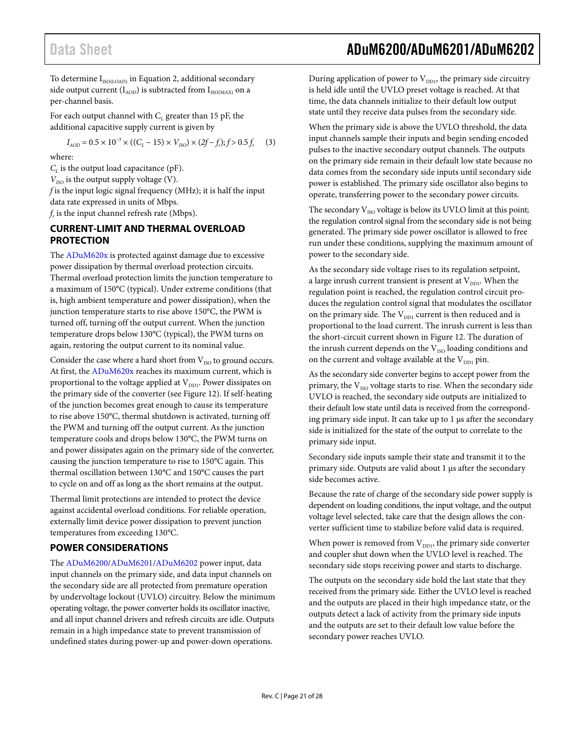### Data Sheet **ADuM6200/ADuM6201/ADuM6202**

To determine  $\boldsymbol{\mathrm{I}}_{\text{ISO(LOAD)}}$  in Equation 2, additional secondary side output current  $(I_{AOD})$  is subtracted from  $I_{ISO(MAX)}$  on a per-channel basis.

For each output channel with  $C_L$  greater than 15 pF, the additional capacitive supply current is given by

$$
I_{AOD} = 0.5 \times 10^{-3} \times ((C_L - 15) \times V_{ISO}) \times (2f - f_r); f > 0.5 f_r
$$
 (3)

where:

 $C_L$  is the output load capacitance (pF).

 $V_{ISO}$  is the output supply voltage (V).

*f* is the input logic signal frequency (MHz); it is half the input data rate expressed in units of Mbps.

 $f<sub>r</sub>$  is the input channel refresh rate (Mbps).

### <span id="page-20-0"></span>**CURRENT-LIMIT AND THERMAL OVERLOAD PROTECTION**

The [ADuM620x](http://www.analog.com/ADuM620) is protected against damage due to excessive power dissipation by thermal overload protection circuits. Thermal overload protection limits the junction temperature to a maximum of 150°C (typical). Under extreme conditions (that is, high ambient temperature and power dissipation), when the junction temperature starts to rise above 150°C, the PWM is turned off, turning off the output current. When the junction temperature drops below 130°C (typical), the PWM turns on again, restoring the output current to its nominal value.

Consider the case where a hard short from  $V_{ISO}$  to ground occurs. At first, the [ADuM620x](http://www.analog.com/ADuM620) reaches its maximum current, which is proportional to the voltage applied at  $V_{DD1}$ . Power dissipates on the primary side of the converter (see [Figure 12\)](#page-13-2). If self-heating of the junction becomes great enough to cause its temperature to rise above 150°C, thermal shutdown is activated, turning off the PWM and turning off the output current. As the junction temperature cools and drops below 130°C, the PWM turns on and power dissipates again on the primary side of the converter, causing the junction temperature to rise to 150°C again. This thermal oscillation between 130°C and 150°C causes the part to cycle on and off as long as the short remains at the output.

Thermal limit protections are intended to protect the device against accidental overload conditions. For reliable operation, externally limit device power dissipation to prevent junction temperatures from exceeding 130°C.

### <span id="page-20-1"></span>**POWER CONSIDERATIONS**

The [ADuM6200/](http://www.analog.com/ADuM6200)[ADuM6201/](http://www.analog.com/ADuM6201)[ADuM6202](http://www.analog.com/ADuM6202) power input, data input channels on the primary side, and data input channels on the secondary side are all protected from premature operation by undervoltage lockout (UVLO) circuitry. Below the minimum operating voltage, the power converter holds its oscillator inactive, and all input channel drivers and refresh circuits are idle. Outputs remain in a high impedance state to prevent transmission of undefined states during power-up and power-down operations.

During application of power to  $V_{DD1}$ , the primary side circuitry is held idle until the UVLO preset voltage is reached. At that time, the data channels initialize to their default low output state until they receive data pulses from the secondary side.

When the primary side is above the UVLO threshold, the data input channels sample their inputs and begin sending encoded pulses to the inactive secondary output channels. The outputs on the primary side remain in their default low state because no data comes from the secondary side inputs until secondary side power is established. The primary side oscillator also begins to operate, transferring power to the secondary power circuits.

The secondary  $V_{ISO}$  voltage is below its UVLO limit at this point; the regulation control signal from the secondary side is not being generated. The primary side power oscillator is allowed to free run under these conditions, supplying the maximum amount of power to the secondary side.

As the secondary side voltage rises to its regulation setpoint, a large inrush current transient is present at  $V_{DD1}$ . When the regulation point is reached, the regulation control circuit produces the regulation control signal that modulates the oscillator on the primary side. The  $V_{DD1}$  current is then reduced and is proportional to the load current. The inrush current is less than the short-circuit current shown in [Figure 12.](#page-13-2) The duration of the inrush current depends on the  $V_{ISO}$  loading conditions and on the current and voltage available at the  $V_{DD1}$  pin.

As the secondary side converter begins to accept power from the primary, the  $V_{ISO}$  voltage starts to rise. When the secondary side UVLO is reached, the secondary side outputs are initialized to their default low state until data is received from the corresponding primary side input. It can take up to 1 µs after the secondary side is initialized for the state of the output to correlate to the primary side input.

Secondary side inputs sample their state and transmit it to the primary side. Outputs are valid about 1 µs after the secondary side becomes active.

Because the rate of charge of the secondary side power supply is dependent on loading conditions, the input voltage, and the output voltage level selected, take care that the design allows the converter sufficient time to stabilize before valid data is required.

When power is removed from  $V_{DD1}$ , the primary side converter and coupler shut down when the UVLO level is reached. The secondary side stops receiving power and starts to discharge.

The outputs on the secondary side hold the last state that they received from the primary side. Either the UVLO level is reached and the outputs are placed in their high impedance state, or the outputs detect a lack of activity from the primary side inputs and the outputs are set to their default low value before the secondary power reaches UVLO.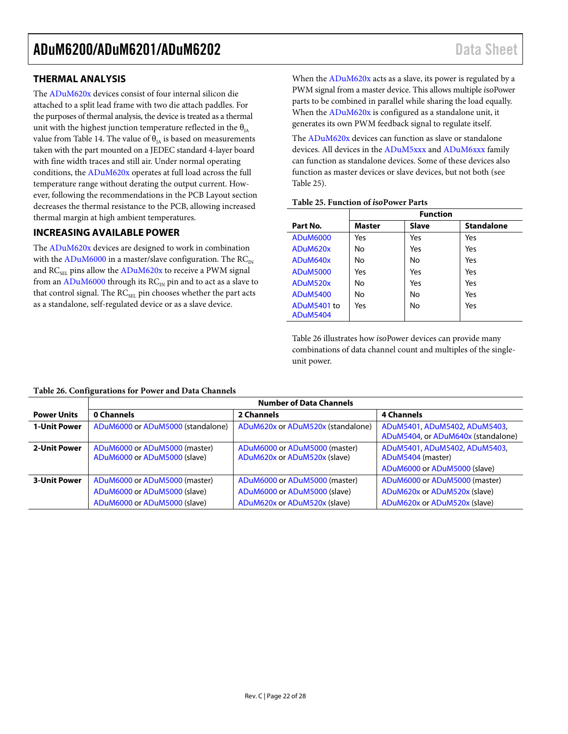### <span id="page-21-0"></span>**THERMAL ANALYSIS**

The [ADuM620x](http://www.analog.com/ADuM620) devices consist of four internal silicon die attached to a split lead frame with two die attach paddles. For the purposes of thermal analysis, the device is treated as a thermal unit with the highest junction temperature reflected in the  $\theta_{IA}$ value from [Table 14.](#page-6-1) The value of  $\theta_{IA}$  is based on measurements taken with the part mounted on a JEDEC standard 4-layer board with fine width traces and still air. Under normal operating conditions, th[e ADuM620x](http://www.analog.com/ADuM620) operates at full load across the full temperature range without derating the output current. However, following the recommendations in the [PCB Layout](#page-17-1) section decreases the thermal resistance to the PCB, allowing increased thermal margin at high ambient temperatures.

### <span id="page-21-1"></span>**INCREASING AVAILABLE POWER**

The [ADuM620x](http://www.analog.com/ADuM620) devices are designed to work in combination with th[e ADuM6000](http://www.analog.com/ADuM6000) in a master/slave configuration. The  $RC_{\rm IN}$ and RC<sub>SEL</sub> pins allow the [ADuM620x](http://www.analog.com/ADuM620) to receive a PWM signal from a[n ADuM6000](http://www.analog.com/ADuM6000) through its  $RC_{IN}$  pin and to act as a slave to that control signal. The RC<sub>SEL</sub> pin chooses whether the part acts as a standalone, self-regulated device or as a slave device.

When th[e ADuM620x](http://www.analog.com/ADuM620) acts as a slave, its power is regulated by a PWM signal from a master device. This allows multiple *iso*Power parts to be combined in parallel while sharing the load equally. When th[e ADuM620x](http://www.analog.com/ADuM620) is configured as a standalone unit, it generates its own PWM feedback signal to regulate itself.

The [ADuM620x](http://www.analog.com/ADuM620) devices can function as slave or standalone devices. All devices in th[e ADuM5xxx](http://www.analog.com/ADuM5) and [ADuM6xxx](http://www.analog.com/ADuM6) family can function as standalone devices. Some of these devices also function as master devices or slave devices, but not both (see [Table 25\)](#page-21-2).

#### <span id="page-21-2"></span>**Table 25. Function of** *iso***Power Parts**

|                 | <b>Function</b> |              |                   |  |  |
|-----------------|-----------------|--------------|-------------------|--|--|
| Part No.        | Master          | <b>Slave</b> | <b>Standalone</b> |  |  |
| <b>ADuM6000</b> | Yes             | Yes          | Yes               |  |  |
| ADuM620x        | No              | Yes          | Yes               |  |  |
| ADuM640x        | No              | No           | Yes               |  |  |
| <b>ADuM5000</b> | Yes             | Yes          | Yes               |  |  |
| ADuM520x        | No              | Yes          | Yes               |  |  |
| <b>ADuM5400</b> | No              | No           | Yes               |  |  |
| ADuM5401 to     | Yes             | No           | Yes               |  |  |
| <b>ADuM5404</b> |                 |              |                   |  |  |

[Table 26](#page-21-3) illustrates how *iso*Power devices can provide many combinations of data channel count and multiples of the singleunit power.

#### <span id="page-21-3"></span>**Table 26. Configurations for Power and Data Channels**

|                     | <b>Number of Data Channels</b>                                |                                                               |                                                                                    |  |  |  |  |
|---------------------|---------------------------------------------------------------|---------------------------------------------------------------|------------------------------------------------------------------------------------|--|--|--|--|
| <b>Power Units</b>  | 0 Channels                                                    | 2 Channels                                                    | <b>4 Channels</b>                                                                  |  |  |  |  |
| <b>1-Unit Power</b> | ADuM6000 or ADuM5000 (standalone)                             | ADuM620x or ADuM520x (standalone)                             | ADuM5401, ADuM5402, ADuM5403,<br>ADuM5404, or ADuM640x (standalone)                |  |  |  |  |
| 2-Unit Power        | ADuM6000 or ADuM5000 (master)<br>ADuM6000 or ADuM5000 (slave) | ADuM6000 or ADuM5000 (master)<br>ADuM620x or ADuM520x (slave) | ADuM5401, ADuM5402, ADuM5403,<br>ADuM5404 (master)<br>ADuM6000 or ADuM5000 (slave) |  |  |  |  |
| <b>3-Unit Power</b> | ADuM6000 or ADuM5000 (master)                                 | ADuM6000 or ADuM5000 (master)                                 | ADuM6000 or ADuM5000 (master)                                                      |  |  |  |  |
|                     | ADuM6000 or ADuM5000 (slave)                                  | ADuM6000 or ADuM5000 (slave)                                  | ADuM620x or ADuM520x (slave)                                                       |  |  |  |  |
|                     | ADuM6000 or ADuM5000 (slave)                                  | ADuM620x or ADuM520x (slave)                                  | ADuM620x or ADuM520x (slave)                                                       |  |  |  |  |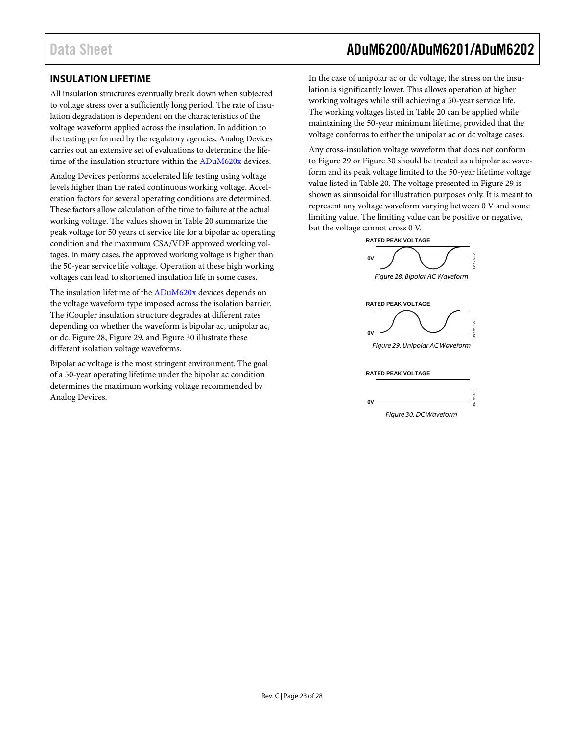### <span id="page-22-0"></span>**INSULATION LIFETIME**

All insulation structures eventually break down when subjected to voltage stress over a sufficiently long period. The rate of insulation degradation is dependent on the characteristics of the voltage waveform applied across the insulation. In addition to the testing performed by the regulatory agencies, Analog Devices carries out an extensive set of evaluations to determine the life-time of the insulation structure within the [ADuM620x](http://www.analog.com/ADuM620) devices.

Analog Devices performs accelerated life testing using voltage levels higher than the rated continuous working voltage. Acceleration factors for several operating conditions are determined. These factors allow calculation of the time to failure at the actual working voltage. The values shown i[n Table 20](#page-9-2) summarize the peak voltage for 50 years of service life for a bipolar ac operating condition and the maximum CSA/VDE approved working voltages. In many cases, the approved working voltage is higher than the 50-year service life voltage. Operation at these high working voltages can lead to shortened insulation life in some cases.

The insulation lifetime of the [ADuM620x](http://www.analog.com/ADuM620) devices depends on the voltage waveform type imposed across the isolation barrier. The *i*Coupler insulation structure degrades at different rates depending on whether the waveform is bipolar ac, unipolar ac, or dc. [Figure 28,](#page-22-1) [Figure 29,](#page-22-2) and [Figure 30](#page-22-3) illustrate these different isolation voltage waveforms.

Bipolar ac voltage is the most stringent environment. The goal of a 50-year operating lifetime under the bipolar ac condition determines the maximum working voltage recommended by Analog Devices.

### Data Sheet **ADuM6200/ADuM6201/ADuM6202**

In the case of unipolar ac or dc voltage, the stress on the insulation is significantly lower. This allows operation at higher working voltages while still achieving a 50-year service life. The working voltages listed i[n Table 20](#page-9-2) can be applied while maintaining the 50-year minimum lifetime, provided that the voltage conforms to either the unipolar ac or dc voltage cases.

Any cross-insulation voltage waveform that does not conform to [Figure 29](#page-22-2) or [Figure 30](#page-22-3) should be treated as a bipolar ac waveform and its peak voltage limited to the 50-year lifetime voltage value listed i[n Table 20.](#page-9-2) The voltage presented i[n Figure 29](#page-22-2) is shown as sinusoidal for illustration purposes only. It is meant to represent any voltage waveform varying between 0 V and some limiting value. The limiting value can be positive or negative, but the voltage cannot cross 0 V.



<span id="page-22-1"></span>



<span id="page-22-2"></span>**RATED PEAK VOLTAGE**

<span id="page-22-3"></span>

| W |  |
|---|--|

*Figure 30. DC Waveform*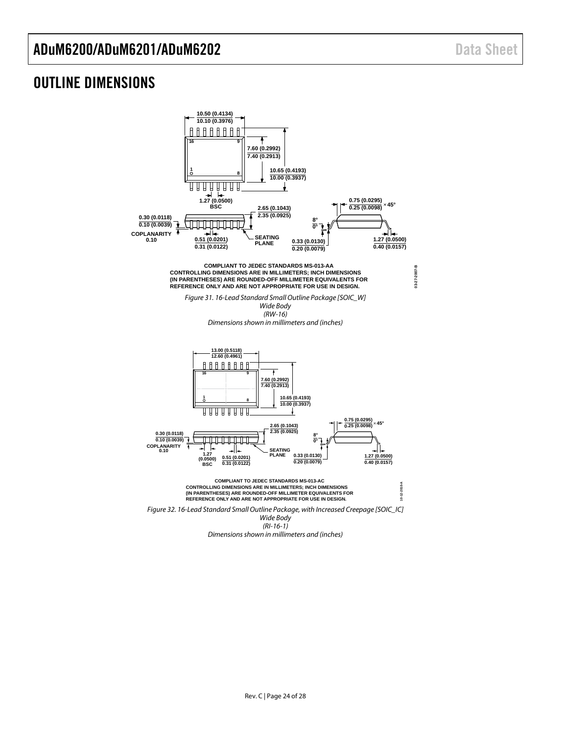### <span id="page-23-0"></span>OUTLINE DIMENSIONS

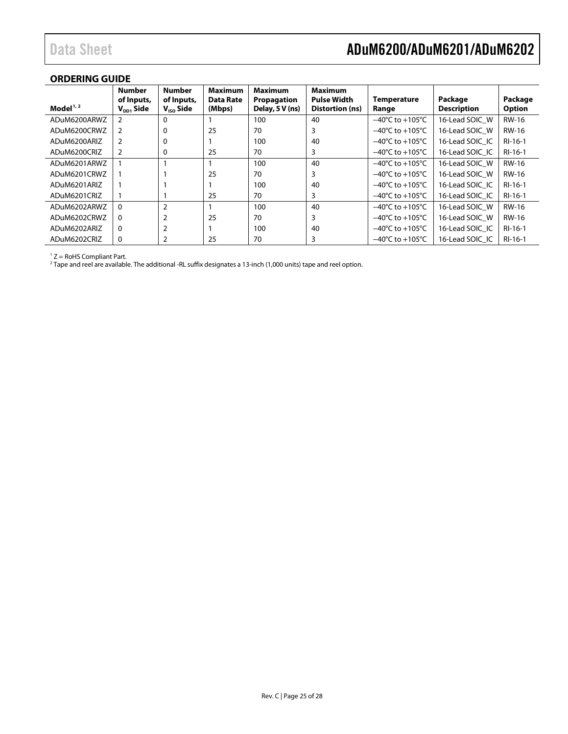### <span id="page-24-0"></span>**ORDERING GUIDE**

| Model $1, 2$ | <b>Number</b><br>of Inputs,<br>$V_{DD1}$ Side | <b>Number</b><br>of Inputs,<br>$V_{\text{iso}}$ Side | <b>Maximum</b><br><b>Data Rate</b><br>(Mbps) | <b>Maximum</b><br>Propagation<br>Delay, 5 V (ns) | <b>Maximum</b><br><b>Pulse Width</b><br>Distortion (ns) | <b>Temperature</b><br>Range         | Package<br><b>Description</b> | Package<br><b>Option</b> |
|--------------|-----------------------------------------------|------------------------------------------------------|----------------------------------------------|--------------------------------------------------|---------------------------------------------------------|-------------------------------------|-------------------------------|--------------------------|
| ADuM6200ARWZ | 2                                             | 0                                                    |                                              | 100                                              | 40                                                      | $-40^{\circ}$ C to $+105^{\circ}$ C | 16-Lead SOIC W                | <b>RW-16</b>             |
| ADuM6200CRWZ | 2                                             | 0                                                    | 25                                           | 70                                               | 3                                                       | $-40^{\circ}$ C to $+105^{\circ}$ C | 16-Lead SOIC W                | <b>RW-16</b>             |
| ADuM6200ARIZ | 2                                             | 0                                                    |                                              | 100                                              | 40                                                      | $-40^{\circ}$ C to $+105^{\circ}$ C | 16-Lead SOIC IC               | RI-16-1                  |
| ADuM6200CRIZ | 2                                             | 0                                                    | 25                                           | 70                                               | 3                                                       | $-40^{\circ}$ C to $+105^{\circ}$ C | 16-Lead SOIC IC               | RI-16-1                  |
| ADuM6201ARWZ |                                               |                                                      |                                              | 100                                              | 40                                                      | $-40^{\circ}$ C to $+105^{\circ}$ C | 16-Lead SOIC W                | <b>RW-16</b>             |
| ADuM6201CRWZ |                                               |                                                      | 25                                           | 70                                               | 3                                                       | $-40^{\circ}$ C to $+105^{\circ}$ C | 16-Lead SOIC W                | <b>RW-16</b>             |
| ADuM6201ARIZ |                                               |                                                      |                                              | 100                                              | 40                                                      | $-40^{\circ}$ C to $+105^{\circ}$ C | 16-Lead SOIC IC               | RI-16-1                  |
| ADuM6201CRIZ |                                               |                                                      | 25                                           | 70                                               | 3                                                       | $-40^{\circ}$ C to $+105^{\circ}$ C | 16-Lead SOIC IC               | RI-16-1                  |
| ADuM6202ARWZ | $\mathbf{0}$                                  | $\overline{2}$                                       |                                              | 100                                              | 40                                                      | $-40^{\circ}$ C to $+105^{\circ}$ C | 16-Lead SOIC W                | <b>RW-16</b>             |
| ADuM6202CRWZ | 0                                             | $\overline{2}$                                       | 25                                           | 70                                               | 3                                                       | $-40^{\circ}$ C to $+105^{\circ}$ C | 16-Lead SOIC W                | <b>RW-16</b>             |
| ADuM6202ARIZ | 0                                             | $\overline{2}$                                       |                                              | 100                                              | 40                                                      | $-40^{\circ}$ C to $+105^{\circ}$ C | 16-Lead SOIC IC               | RI-16-1                  |
| ADuM6202CRIZ | 0                                             | 2                                                    | 25                                           | 70                                               | 3                                                       | $-40^{\circ}$ C to $+105^{\circ}$ C | 16-Lead SOIC IC               | $RI-16-1$                |

 $1 Z =$  RoHS Compliant Part.

 $^2$  Tape and reel are available. The additional -RL suffix designates a 13-inch (1,000 units) tape and reel option.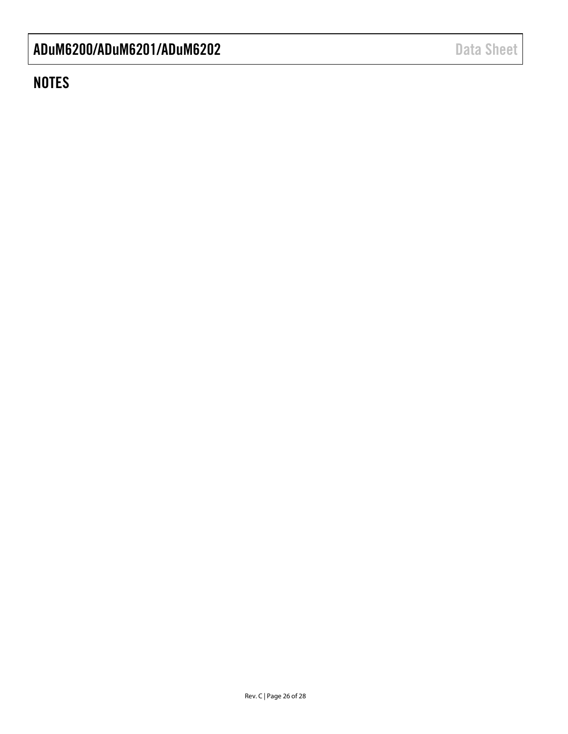### **NOTES**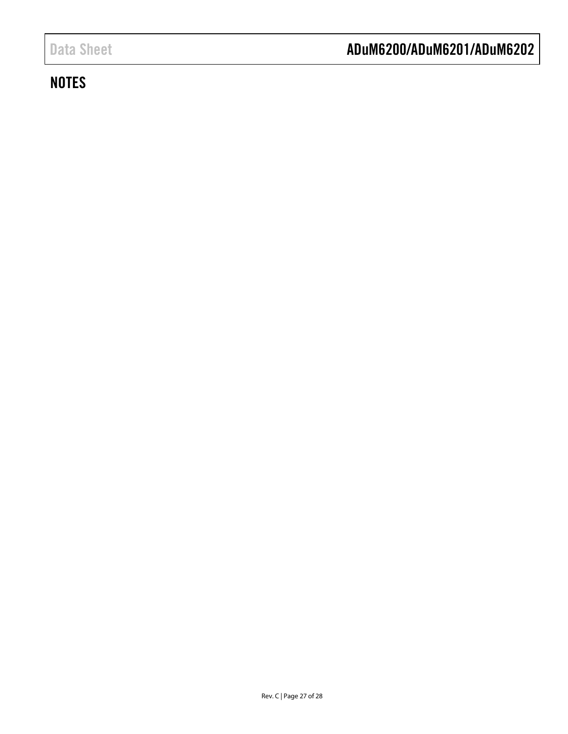### **NOTES**